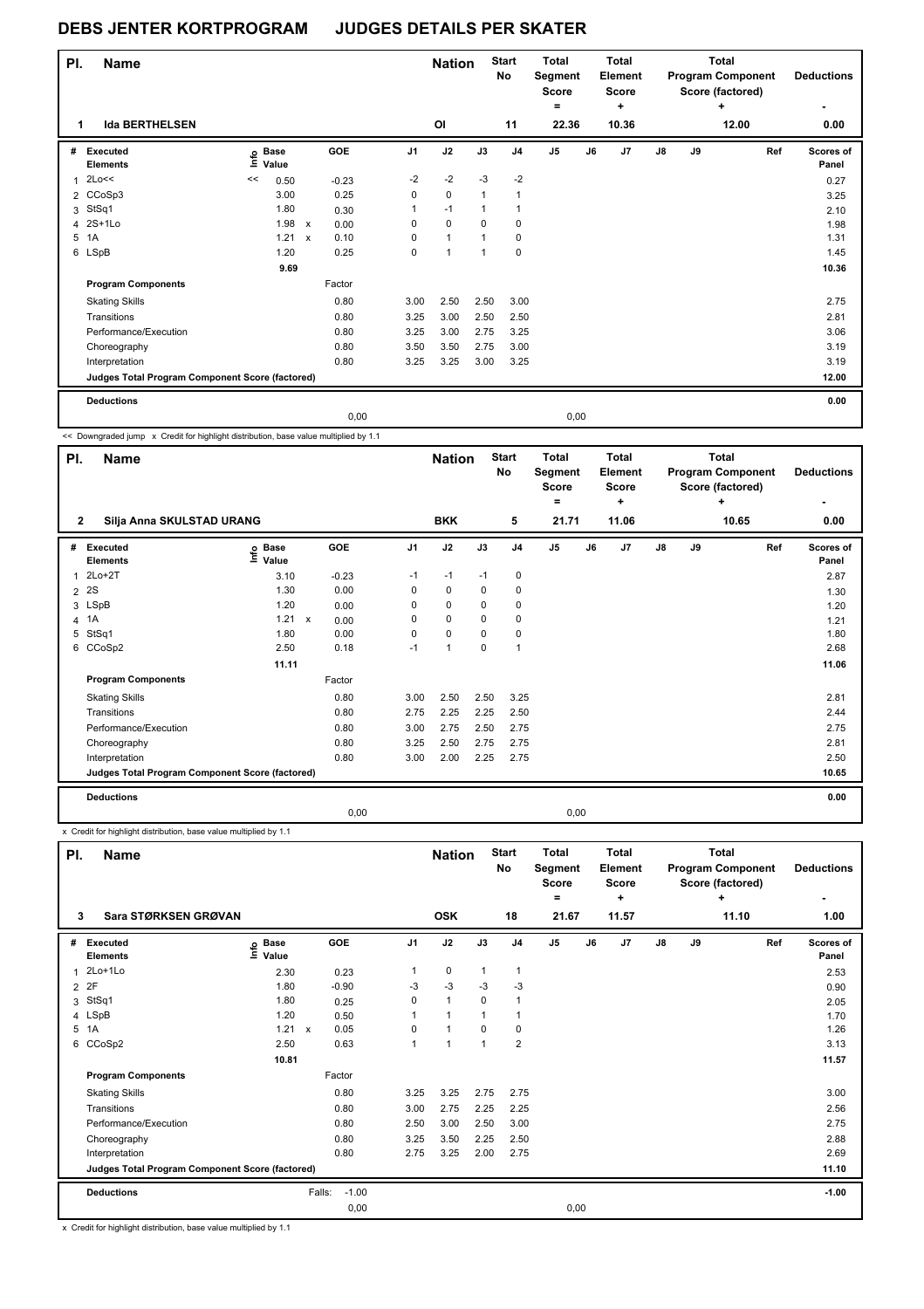| PI. | <b>Name</b>                                     |    |                            |                           |         |                | <b>Nation</b> |                | <b>Start</b><br>No | <b>Total</b><br>Segment<br><b>Score</b><br>$=$ |       | <b>Total</b><br><b>Element</b><br><b>Score</b><br>٠ |               |    | <b>Total</b><br><b>Program Component</b><br>Score (factored)<br>٠ | <b>Deductions</b>  |
|-----|-------------------------------------------------|----|----------------------------|---------------------------|---------|----------------|---------------|----------------|--------------------|------------------------------------------------|-------|-----------------------------------------------------|---------------|----|-------------------------------------------------------------------|--------------------|
| 1   | <b>Ida BERTHELSEN</b>                           |    |                            |                           |         |                | OI            |                | 11                 |                                                | 22.36 | 10.36                                               |               |    | 12.00                                                             | 0.00               |
| #   | Executed<br><b>Elements</b>                     |    | e Base<br>E Value<br>Value |                           | GOE     | J <sub>1</sub> | J2            | J3             | J <sub>4</sub>     | J <sub>5</sub>                                 | J6    | J <sub>7</sub>                                      | $\mathsf{J}8$ | J9 | Ref                                                               | Scores of<br>Panel |
| 1   | 2Lo<<                                           | << | 0.50                       |                           | $-0.23$ | $-2$           | $-2$          | $-3$           | $-2$               |                                                |       |                                                     |               |    |                                                                   | 0.27               |
|     | 2 CCoSp3                                        |    | 3.00                       |                           | 0.25    | 0              | $\mathbf 0$   | 1              |                    |                                                |       |                                                     |               |    |                                                                   | 3.25               |
| 3   | StSq1                                           |    | 1.80                       |                           | 0.30    | 1              | $-1$          | 1              |                    |                                                |       |                                                     |               |    |                                                                   | 2.10               |
| 4   | $2S+1Lo$                                        |    | 1.98                       | $\boldsymbol{\mathsf{x}}$ | 0.00    | $\Omega$       | $\mathbf 0$   | $\Omega$       | 0                  |                                                |       |                                                     |               |    |                                                                   | 1.98               |
| 5   | 1A                                              |    | 1.21                       | $\boldsymbol{\mathsf{x}}$ | 0.10    | 0              | $\mathbf{1}$  | $\overline{1}$ | 0                  |                                                |       |                                                     |               |    |                                                                   | 1.31               |
|     | 6 LSpB                                          |    | 1.20                       |                           | 0.25    | 0              | $\mathbf{1}$  | $\overline{1}$ | 0                  |                                                |       |                                                     |               |    |                                                                   | 1.45               |
|     |                                                 |    | 9.69                       |                           |         |                |               |                |                    |                                                |       |                                                     |               |    |                                                                   | 10.36              |
|     | <b>Program Components</b>                       |    |                            |                           | Factor  |                |               |                |                    |                                                |       |                                                     |               |    |                                                                   |                    |
|     | <b>Skating Skills</b>                           |    |                            |                           | 0.80    | 3.00           | 2.50          | 2.50           | 3.00               |                                                |       |                                                     |               |    |                                                                   | 2.75               |
|     | Transitions                                     |    |                            |                           | 0.80    | 3.25           | 3.00          | 2.50           | 2.50               |                                                |       |                                                     |               |    |                                                                   | 2.81               |
|     | Performance/Execution                           |    |                            |                           | 0.80    | 3.25           | 3.00          | 2.75           | 3.25               |                                                |       |                                                     |               |    |                                                                   | 3.06               |
|     | Choreography                                    |    |                            |                           | 0.80    | 3.50           | 3.50          | 2.75           | 3.00               |                                                |       |                                                     |               |    |                                                                   | 3.19               |
|     | Interpretation                                  |    |                            |                           | 0.80    | 3.25           | 3.25          | 3.00           | 3.25               |                                                |       |                                                     |               |    |                                                                   | 3.19               |
|     | Judges Total Program Component Score (factored) |    |                            |                           |         |                |               |                |                    |                                                |       |                                                     |               |    |                                                                   | 12.00              |
|     | <b>Deductions</b>                               |    |                            |                           |         |                |               |                |                    |                                                |       |                                                     |               |    |                                                                   | 0.00               |
|     |                                                 |    |                            |                           | 0.00    |                |               |                |                    |                                                | 0,00  |                                                     |               |    |                                                                   |                    |

<< Downgraded jump x Credit for highlight distribution, base value multiplied by 1.1

T

| PI.            | Name                                            |                            |              |            |      | <b>Nation</b>  |      | <b>Start</b><br>No | <b>Total</b><br>Segment<br><b>Score</b><br>$\equiv$ |       | <b>Total</b><br><b>Element</b><br><b>Score</b><br>٠ |    |    | <b>Total</b><br><b>Program Component</b><br>Score (factored)<br>٠ | <b>Deductions</b>  |
|----------------|-------------------------------------------------|----------------------------|--------------|------------|------|----------------|------|--------------------|-----------------------------------------------------|-------|-----------------------------------------------------|----|----|-------------------------------------------------------------------|--------------------|
| $\mathbf{2}$   | Silja Anna SKULSTAD URANG                       |                            |              |            |      | <b>BKK</b>     |      | 5                  |                                                     | 21.71 | 11.06                                               |    |    | 10.65                                                             | 0.00               |
| #              | <b>Executed</b><br><b>Elements</b>              | e Base<br>E Value<br>Value |              | <b>GOE</b> | J1   | J2             | J3   | J <sub>4</sub>     | J <sub>5</sub>                                      | J6    | J7                                                  | J8 | J9 | Ref                                                               | Scores of<br>Panel |
| 1              | $2Lo+2T$                                        | 3.10                       |              | $-0.23$    | $-1$ | $-1$           | $-1$ | 0                  |                                                     |       |                                                     |    |    |                                                                   | 2.87               |
| $\overline{2}$ | <b>2S</b>                                       | 1.30                       |              | 0.00       | 0    | $\mathbf 0$    | 0    | 0                  |                                                     |       |                                                     |    |    |                                                                   | 1.30               |
|                | 3 LSpB                                          | 1.20                       |              | 0.00       | 0    | $\mathbf 0$    | 0    | 0                  |                                                     |       |                                                     |    |    |                                                                   | 1.20               |
|                | 4 1A                                            | 1.21                       | $\mathsf{x}$ | 0.00       | 0    | $\mathbf 0$    | 0    | 0                  |                                                     |       |                                                     |    |    |                                                                   | 1.21               |
| 5              | StSq1                                           | 1.80                       |              | 0.00       | 0    | $\pmb{0}$      | 0    | 0                  |                                                     |       |                                                     |    |    |                                                                   | 1.80               |
| 6              | CCoSp2                                          | 2.50                       |              | 0.18       | $-1$ | $\overline{1}$ | 0    | 1                  |                                                     |       |                                                     |    |    |                                                                   | 2.68               |
|                |                                                 | 11.11                      |              |            |      |                |      |                    |                                                     |       |                                                     |    |    |                                                                   | 11.06              |
|                | <b>Program Components</b>                       |                            |              | Factor     |      |                |      |                    |                                                     |       |                                                     |    |    |                                                                   |                    |
|                | <b>Skating Skills</b>                           |                            |              | 0.80       | 3.00 | 2.50           | 2.50 | 3.25               |                                                     |       |                                                     |    |    |                                                                   | 2.81               |
|                | Transitions                                     |                            |              | 0.80       | 2.75 | 2.25           | 2.25 | 2.50               |                                                     |       |                                                     |    |    |                                                                   | 2.44               |
|                | Performance/Execution                           |                            |              | 0.80       | 3.00 | 2.75           | 2.50 | 2.75               |                                                     |       |                                                     |    |    |                                                                   | 2.75               |
|                | Choreography                                    |                            |              | 0.80       | 3.25 | 2.50           | 2.75 | 2.75               |                                                     |       |                                                     |    |    |                                                                   | 2.81               |
|                | Interpretation                                  |                            |              | 0.80       | 3.00 | 2.00           | 2.25 | 2.75               |                                                     |       |                                                     |    |    |                                                                   | 2.50               |
|                | Judges Total Program Component Score (factored) |                            |              |            |      |                |      |                    |                                                     |       |                                                     |    |    |                                                                   | 10.65              |
|                | <b>Deductions</b>                               |                            |              |            |      |                |      |                    |                                                     |       |                                                     |    |    |                                                                   | 0.00               |
|                |                                                 |                            |              | 0,00       |      |                |      |                    |                                                     | 0,00  |                                                     |    |    |                                                                   |                    |

x Credit for highlight distribution, base value multiplied by 1.1

| PI.            | <b>Name</b>                                     |                              |        |            |                | <b>Nation</b> |              | <b>Start</b><br>No | <b>Total</b><br>Segment<br><b>Score</b><br>٠ |      | <b>Total</b><br><b>Element</b><br><b>Score</b><br>÷ |               |    | <b>Total</b><br><b>Program Component</b><br>Score (factored)<br>÷ | <b>Deductions</b>  |
|----------------|-------------------------------------------------|------------------------------|--------|------------|----------------|---------------|--------------|--------------------|----------------------------------------------|------|-----------------------------------------------------|---------------|----|-------------------------------------------------------------------|--------------------|
| 3              | Sara STØRKSEN GRØVAN                            |                              |        |            |                | <b>OSK</b>    |              | 18                 | 21.67                                        |      | 11.57                                               |               |    | 11.10                                                             | 1.00               |
| #              | Executed<br><b>Elements</b>                     | <b>Base</b><br>١nfo<br>Value |        | <b>GOE</b> | J <sub>1</sub> | J2            | J3           | J <sub>4</sub>     | J <sub>5</sub>                               | J6   | J7                                                  | $\mathsf{J}8$ | J9 | Ref                                                               | Scores of<br>Panel |
| 1              | $2Lo+1Lo$                                       | 2.30                         |        | 0.23       | 1              | 0             | $\mathbf{1}$ | $\mathbf{1}$       |                                              |      |                                                     |               |    |                                                                   | 2.53               |
| 2              | 2F                                              | 1.80                         |        | $-0.90$    | $-3$           | $-3$          | $-3$         | $-3$               |                                              |      |                                                     |               |    |                                                                   | 0.90               |
| 3              | StSq1                                           | 1.80                         |        | 0.25       | 0              | $\mathbf{1}$  | $\mathbf 0$  | 1                  |                                              |      |                                                     |               |    |                                                                   | 2.05               |
| $\overline{4}$ | LSpB                                            | 1.20                         |        | 0.50       |                | 1             | 1            |                    |                                              |      |                                                     |               |    |                                                                   | 1.70               |
| 5              | 1A                                              | 1.21 x                       |        | 0.05       | 0              | 1             | $\Omega$     | 0                  |                                              |      |                                                     |               |    |                                                                   | 1.26               |
| 6              | CCoSp2                                          | 2.50                         |        | 0.63       | 1              | 1             | 1            | $\overline{2}$     |                                              |      |                                                     |               |    |                                                                   | 3.13               |
|                |                                                 | 10.81                        |        |            |                |               |              |                    |                                              |      |                                                     |               |    |                                                                   | 11.57              |
|                | <b>Program Components</b>                       |                              |        | Factor     |                |               |              |                    |                                              |      |                                                     |               |    |                                                                   |                    |
|                | <b>Skating Skills</b>                           |                              |        | 0.80       | 3.25           | 3.25          | 2.75         | 2.75               |                                              |      |                                                     |               |    |                                                                   | 3.00               |
|                | Transitions                                     |                              |        | 0.80       | 3.00           | 2.75          | 2.25         | 2.25               |                                              |      |                                                     |               |    |                                                                   | 2.56               |
|                | Performance/Execution                           |                              |        | 0.80       | 2.50           | 3.00          | 2.50         | 3.00               |                                              |      |                                                     |               |    |                                                                   | 2.75               |
|                | Choreography                                    |                              |        | 0.80       | 3.25           | 3.50          | 2.25         | 2.50               |                                              |      |                                                     |               |    |                                                                   | 2.88               |
|                | Interpretation                                  |                              |        | 0.80       | 2.75           | 3.25          | 2.00         | 2.75               |                                              |      |                                                     |               |    |                                                                   | 2.69               |
|                | Judges Total Program Component Score (factored) |                              |        |            |                |               |              |                    |                                              |      |                                                     |               |    |                                                                   | 11.10              |
|                | <b>Deductions</b>                               |                              | Falls: | $-1.00$    |                |               |              |                    |                                              |      |                                                     |               |    |                                                                   | $-1.00$            |
|                |                                                 |                              |        | 0,00       |                |               |              |                    |                                              | 0,00 |                                                     |               |    |                                                                   |                    |

x Credit for highlight distribution, base value multiplied by 1.1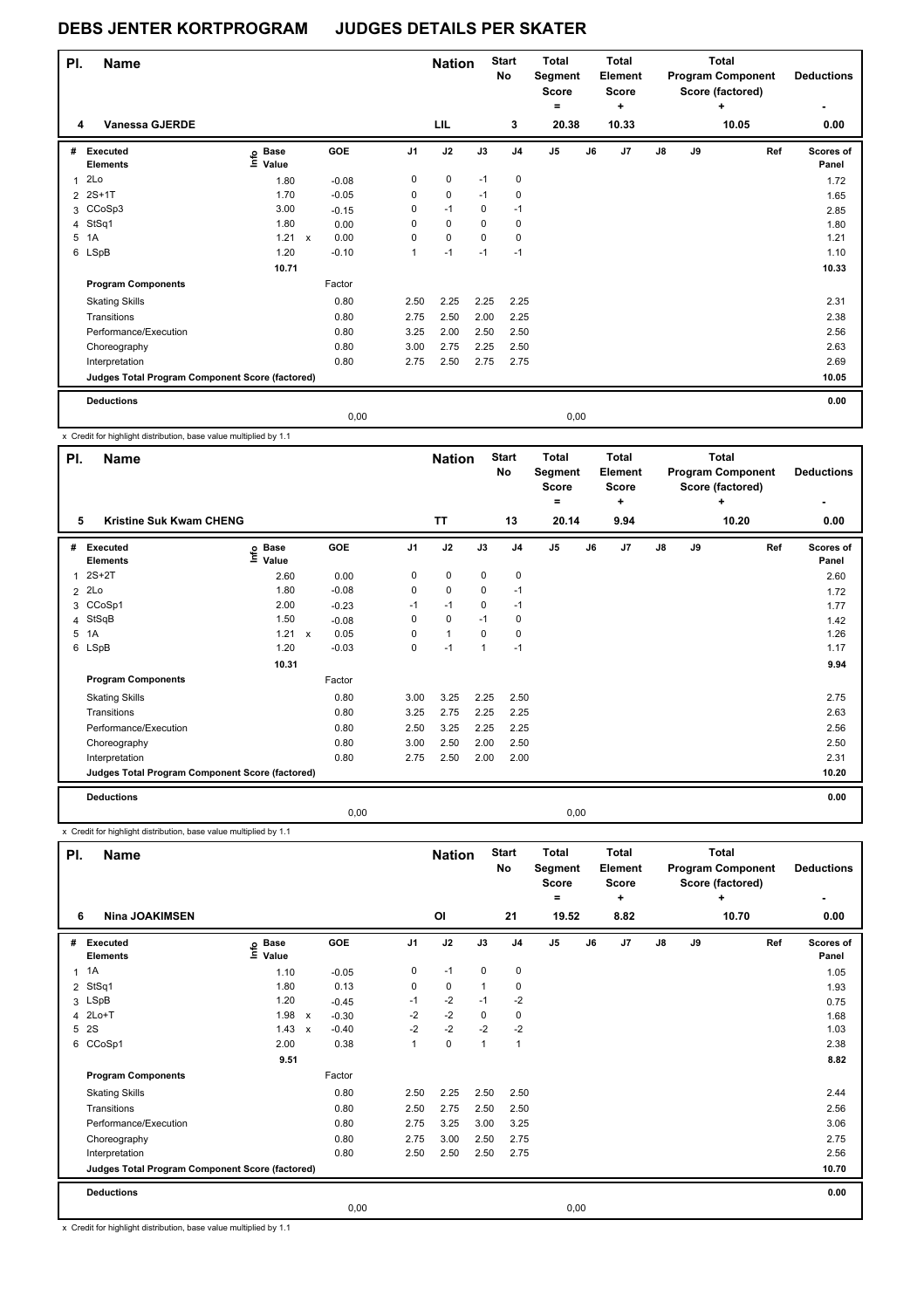| PI. | <b>Name</b>                                     |                                  |                           |            |                | <b>Nation</b> |             | <b>Start</b><br>No | <b>Total</b><br>Segment<br><b>Score</b><br>$=$ |      | Total<br>Element<br><b>Score</b><br>٠ |               |    | <b>Total</b><br><b>Program Component</b><br>Score (factored)<br>٠ | <b>Deductions</b>         |
|-----|-------------------------------------------------|----------------------------------|---------------------------|------------|----------------|---------------|-------------|--------------------|------------------------------------------------|------|---------------------------------------|---------------|----|-------------------------------------------------------------------|---------------------------|
| 4   | <b>Vanessa GJERDE</b>                           |                                  |                           |            |                | LIL           |             | 3                  | 20.38                                          |      | 10.33                                 |               |    | 10.05                                                             | 0.00                      |
| #   | Executed<br><b>Elements</b>                     | <b>Base</b><br>e Base<br>E Value |                           | <b>GOE</b> | J <sub>1</sub> | J2            | J3          | J <sub>4</sub>     | J <sub>5</sub>                                 | J6   | J7                                    | $\mathsf{J}8$ | J9 | Ref                                                               | <b>Scores of</b><br>Panel |
| 1   | 2Lo                                             | 1.80                             |                           | $-0.08$    | 0              | 0             | $-1$        | 0                  |                                                |      |                                       |               |    |                                                                   | 1.72                      |
|     | 2 2S+1T                                         | 1.70                             |                           | $-0.05$    | 0              | 0             | $-1$        | 0                  |                                                |      |                                       |               |    |                                                                   | 1.65                      |
|     | 3 CCoSp3                                        | 3.00                             |                           | $-0.15$    | 0              | $-1$          | $\mathbf 0$ | $-1$               |                                                |      |                                       |               |    |                                                                   | 2.85                      |
| 4   | StSq1                                           | 1.80                             |                           | 0.00       | 0              | 0             | $\Omega$    | 0                  |                                                |      |                                       |               |    |                                                                   | 1.80                      |
| 5   | 1A                                              | 1.21                             | $\boldsymbol{\mathsf{x}}$ | 0.00       | 0              | $\mathbf 0$   | $\mathbf 0$ | 0                  |                                                |      |                                       |               |    |                                                                   | 1.21                      |
|     | 6 LSpB                                          | 1.20                             |                           | $-0.10$    | 1              | $-1$          | $-1$        | $-1$               |                                                |      |                                       |               |    |                                                                   | 1.10                      |
|     |                                                 | 10.71                            |                           |            |                |               |             |                    |                                                |      |                                       |               |    |                                                                   | 10.33                     |
|     | <b>Program Components</b>                       |                                  |                           | Factor     |                |               |             |                    |                                                |      |                                       |               |    |                                                                   |                           |
|     | <b>Skating Skills</b>                           |                                  |                           | 0.80       | 2.50           | 2.25          | 2.25        | 2.25               |                                                |      |                                       |               |    |                                                                   | 2.31                      |
|     | Transitions                                     |                                  |                           | 0.80       | 2.75           | 2.50          | 2.00        | 2.25               |                                                |      |                                       |               |    |                                                                   | 2.38                      |
|     | Performance/Execution                           |                                  |                           | 0.80       | 3.25           | 2.00          | 2.50        | 2.50               |                                                |      |                                       |               |    |                                                                   | 2.56                      |
|     | Choreography                                    |                                  |                           | 0.80       | 3.00           | 2.75          | 2.25        | 2.50               |                                                |      |                                       |               |    |                                                                   | 2.63                      |
|     | Interpretation                                  |                                  |                           | 0.80       | 2.75           | 2.50          | 2.75        | 2.75               |                                                |      |                                       |               |    |                                                                   | 2.69                      |
|     | Judges Total Program Component Score (factored) |                                  |                           |            |                |               |             |                    |                                                |      |                                       |               |    |                                                                   | 10.05                     |
|     | <b>Deductions</b>                               |                                  |                           |            |                |               |             |                    |                                                |      |                                       |               |    |                                                                   | 0.00                      |
|     |                                                 |                                  |                           | 0,00       |                |               |             |                    |                                                | 0,00 |                                       |               |    |                                                                   |                           |

x Credit for highlight distribution, base value multiplied by 1.1

| PI.          | <b>Name</b>                                     |                            |                           |         |                | <b>Nation</b> |             | <b>Start</b><br>No | <b>Total</b><br>Segment<br><b>Score</b><br>۰ |      | Total<br>Element<br><b>Score</b><br>÷ |    |    | <b>Total</b><br><b>Program Component</b><br>Score (factored)<br>٠ | <b>Deductions</b>  |
|--------------|-------------------------------------------------|----------------------------|---------------------------|---------|----------------|---------------|-------------|--------------------|----------------------------------------------|------|---------------------------------------|----|----|-------------------------------------------------------------------|--------------------|
| 5            | <b>Kristine Suk Kwam CHENG</b>                  |                            |                           |         |                | <b>TT</b>     |             | 13                 | 20.14                                        |      | 9.94                                  |    |    | 10.20                                                             | 0.00               |
| #            | Executed<br><b>Elements</b>                     | e Base<br>E Value<br>Value |                           | GOE     | J <sub>1</sub> | J2            | J3          | J <sub>4</sub>     | J <sub>5</sub>                               | J6   | J7                                    | J8 | J9 | Ref                                                               | Scores of<br>Panel |
| $\mathbf{1}$ | $2S+2T$                                         | 2.60                       |                           | 0.00    | 0              | $\mathbf 0$   | $\mathbf 0$ | 0                  |                                              |      |                                       |    |    |                                                                   | 2.60               |
|              | $2$ $2Lo$                                       | 1.80                       |                           | $-0.08$ | 0              | $\mathbf 0$   | 0           | $-1$               |                                              |      |                                       |    |    |                                                                   | 1.72               |
|              | 3 CCoSp1                                        | 2.00                       |                           | $-0.23$ | $-1$           | $-1$          | 0           | $-1$               |                                              |      |                                       |    |    |                                                                   | 1.77               |
|              | 4 StSqB                                         | 1.50                       |                           | $-0.08$ | 0              | 0             | $-1$        | 0                  |                                              |      |                                       |    |    |                                                                   | 1.42               |
|              | 5 1A                                            | 1.21                       | $\boldsymbol{\mathsf{x}}$ | 0.05    | 0              | $\mathbf{1}$  | 0           | 0                  |                                              |      |                                       |    |    |                                                                   | 1.26               |
|              | 6 LSpB                                          | 1.20                       |                           | $-0.03$ | 0              | $-1$          | 1           | $-1$               |                                              |      |                                       |    |    |                                                                   | 1.17               |
|              |                                                 | 10.31                      |                           |         |                |               |             |                    |                                              |      |                                       |    |    |                                                                   | 9.94               |
|              | <b>Program Components</b>                       |                            |                           | Factor  |                |               |             |                    |                                              |      |                                       |    |    |                                                                   |                    |
|              | <b>Skating Skills</b>                           |                            |                           | 0.80    | 3.00           | 3.25          | 2.25        | 2.50               |                                              |      |                                       |    |    |                                                                   | 2.75               |
|              | Transitions                                     |                            |                           | 0.80    | 3.25           | 2.75          | 2.25        | 2.25               |                                              |      |                                       |    |    |                                                                   | 2.63               |
|              | Performance/Execution                           |                            |                           | 0.80    | 2.50           | 3.25          | 2.25        | 2.25               |                                              |      |                                       |    |    |                                                                   | 2.56               |
|              | Choreography                                    |                            |                           | 0.80    | 3.00           | 2.50          | 2.00        | 2.50               |                                              |      |                                       |    |    |                                                                   | 2.50               |
|              | Interpretation                                  |                            |                           | 0.80    | 2.75           | 2.50          | 2.00        | 2.00               |                                              |      |                                       |    |    |                                                                   | 2.31               |
|              | Judges Total Program Component Score (factored) |                            |                           |         |                |               |             |                    |                                              |      |                                       |    |    |                                                                   | 10.20              |
|              | <b>Deductions</b>                               |                            |                           |         |                |               |             |                    |                                              |      |                                       |    |    |                                                                   | 0.00               |
|              |                                                 |                            |                           | 0,00    |                |               |             |                    |                                              | 0,00 |                                       |    |    |                                                                   |                    |

x Credit for highlight distribution, base value multiplied by 1.1

| PI.            | <b>Name</b>                                     |                              |                           |         |                | <b>Nation</b> |                | <b>Start</b><br>No | <b>Total</b><br>Segment<br><b>Score</b><br>۰ |      | <b>Total</b><br>Element<br><b>Score</b><br>÷ |               |    | <b>Total</b><br><b>Program Component</b><br>Score (factored)<br>÷ | <b>Deductions</b>  |
|----------------|-------------------------------------------------|------------------------------|---------------------------|---------|----------------|---------------|----------------|--------------------|----------------------------------------------|------|----------------------------------------------|---------------|----|-------------------------------------------------------------------|--------------------|
| 6              | <b>Nina JOAKIMSEN</b>                           |                              |                           |         |                | OI            |                | 21                 | 19.52                                        |      | 8.82                                         |               |    | 10.70                                                             | 0.00               |
| #              | Executed<br><b>Elements</b>                     | <b>Base</b><br>Info<br>Value |                           | GOE     | J <sub>1</sub> | J2            | J3             | J <sub>4</sub>     | J <sub>5</sub>                               | J6   | J7                                           | $\mathsf{J}8$ | J9 | Ref                                                               | Scores of<br>Panel |
| $\mathbf{1}$   | 1A                                              | 1.10                         |                           | $-0.05$ | 0              | $-1$          | 0              | 0                  |                                              |      |                                              |               |    |                                                                   | 1.05               |
| $\overline{2}$ | StSq1                                           | 1.80                         |                           | 0.13    | $\mathbf 0$    | $\mathbf 0$   | $\overline{1}$ | 0                  |                                              |      |                                              |               |    |                                                                   | 1.93               |
|                | 3 LSpB                                          | 1.20                         |                           | $-0.45$ | $-1$           | $-2$          | $-1$           | $-2$               |                                              |      |                                              |               |    |                                                                   | 0.75               |
| 4              | $2Lo+T$                                         | 1.98                         | $\mathsf{x}$              | $-0.30$ | $-2$           | $-2$          | $\mathbf 0$    | $\mathbf 0$        |                                              |      |                                              |               |    |                                                                   | 1.68               |
| 5              | 2S                                              | 1.43                         | $\boldsymbol{\mathsf{x}}$ | $-0.40$ | $-2$           | $-2$          | $-2$           | $-2$               |                                              |      |                                              |               |    |                                                                   | 1.03               |
|                | 6 CCoSp1                                        | 2.00                         |                           | 0.38    | 1              | $\mathbf 0$   | 1              | $\overline{1}$     |                                              |      |                                              |               |    |                                                                   | 2.38               |
|                |                                                 | 9.51                         |                           |         |                |               |                |                    |                                              |      |                                              |               |    |                                                                   | 8.82               |
|                | <b>Program Components</b>                       |                              |                           | Factor  |                |               |                |                    |                                              |      |                                              |               |    |                                                                   |                    |
|                | <b>Skating Skills</b>                           |                              |                           | 0.80    | 2.50           | 2.25          | 2.50           | 2.50               |                                              |      |                                              |               |    |                                                                   | 2.44               |
|                | Transitions                                     |                              |                           | 0.80    | 2.50           | 2.75          | 2.50           | 2.50               |                                              |      |                                              |               |    |                                                                   | 2.56               |
|                | Performance/Execution                           |                              |                           | 0.80    | 2.75           | 3.25          | 3.00           | 3.25               |                                              |      |                                              |               |    |                                                                   | 3.06               |
|                | Choreography                                    |                              |                           | 0.80    | 2.75           | 3.00          | 2.50           | 2.75               |                                              |      |                                              |               |    |                                                                   | 2.75               |
|                | Interpretation                                  |                              |                           | 0.80    | 2.50           | 2.50          | 2.50           | 2.75               |                                              |      |                                              |               |    |                                                                   | 2.56               |
|                | Judges Total Program Component Score (factored) |                              |                           |         |                |               |                |                    |                                              |      |                                              |               |    |                                                                   | 10.70              |
|                | <b>Deductions</b>                               |                              |                           |         |                |               |                |                    |                                              |      |                                              |               |    |                                                                   | 0.00               |
|                |                                                 |                              |                           | 0,00    |                |               |                |                    |                                              | 0,00 |                                              |               |    |                                                                   |                    |

x Credit for highlight distribution, base value multiplied by 1.1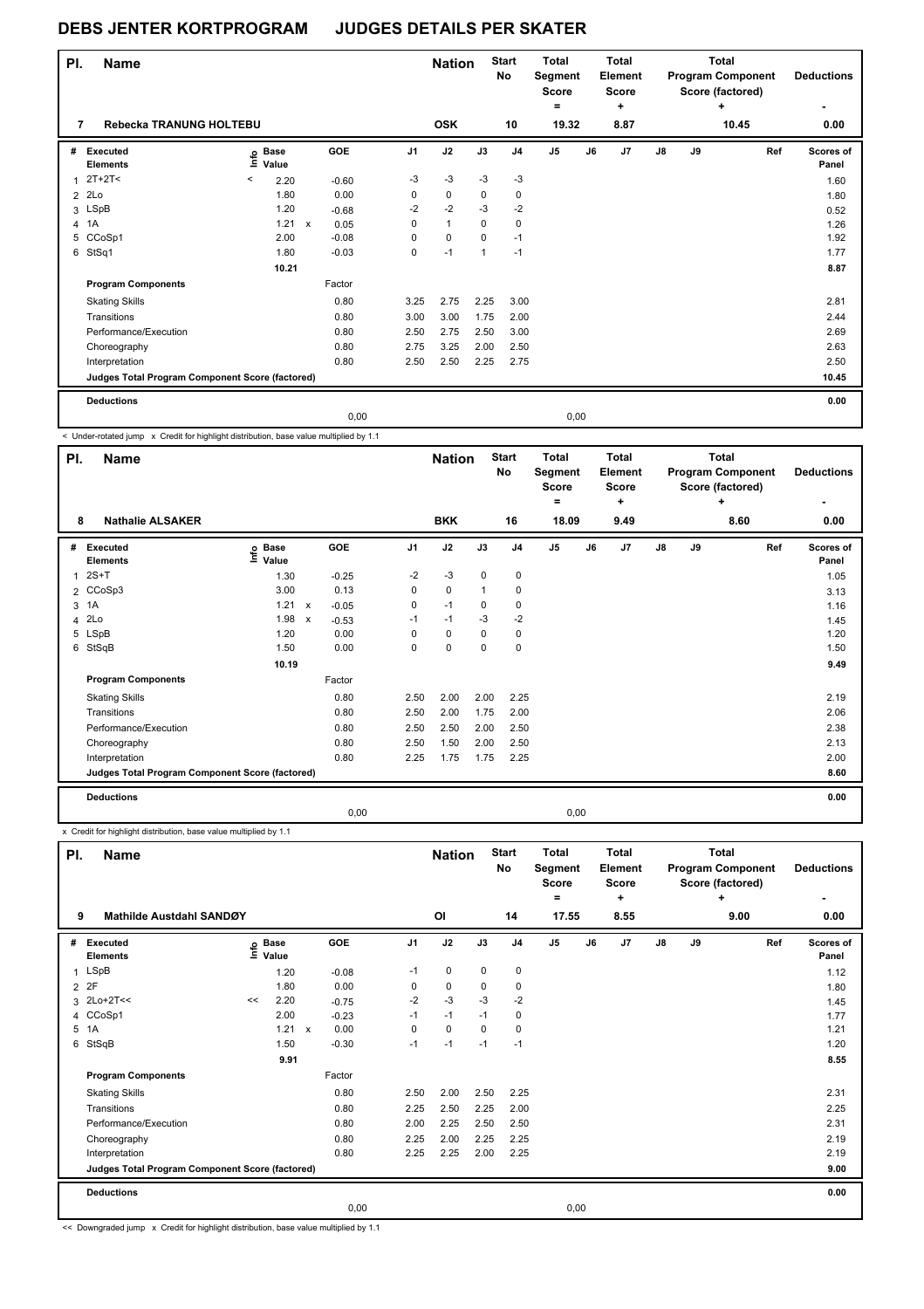| PI.            | <b>Name</b>                                     |         |                      |                           |         |                | <b>Nation</b> |             | <b>Start</b><br>No | <b>Total</b><br>Segment<br><b>Score</b><br>$=$ |       | <b>Total</b><br>Element<br><b>Score</b><br>÷ |               |    | <b>Total</b><br><b>Program Component</b><br>Score (factored)<br>٠ | <b>Deductions</b><br>۰ |
|----------------|-------------------------------------------------|---------|----------------------|---------------------------|---------|----------------|---------------|-------------|--------------------|------------------------------------------------|-------|----------------------------------------------|---------------|----|-------------------------------------------------------------------|------------------------|
| 7              | Rebecka TRANUNG HOLTEBU                         |         |                      |                           |         |                | <b>OSK</b>    |             | 10                 |                                                | 19.32 | 8.87                                         |               |    | 10.45                                                             | 0.00                   |
| #              | Executed<br><b>Elements</b>                     | ١mfo    | <b>Base</b><br>Value |                           | GOE     | J <sub>1</sub> | J2            | J3          | J <sub>4</sub>     | J5                                             | J6    | J <sub>7</sub>                               | $\mathsf{J}8$ | J9 | Ref                                                               | Scores of<br>Panel     |
| 1              | $2T+2T2$                                        | $\,<\,$ | 2.20                 |                           | $-0.60$ | $-3$           | $-3$          | $-3$        | $-3$               |                                                |       |                                              |               |    |                                                                   | 1.60                   |
| $\overline{2}$ | 2Lo                                             |         | 1.80                 |                           | 0.00    | 0              | $\mathbf 0$   | $\mathbf 0$ | 0                  |                                                |       |                                              |               |    |                                                                   | 1.80                   |
|                | 3 LSpB                                          |         | 1.20                 |                           | $-0.68$ | $-2$           | $-2$          | $-3$        | $-2$               |                                                |       |                                              |               |    |                                                                   | 0.52                   |
| 4              | 1A                                              |         | 1.21                 | $\boldsymbol{\mathsf{x}}$ | 0.05    | 0              | $\mathbf{1}$  | $\mathbf 0$ | 0                  |                                                |       |                                              |               |    |                                                                   | 1.26                   |
| 5              | CCoSp1                                          |         | 2.00                 |                           | $-0.08$ | 0              | $\mathbf 0$   | 0           | $-1$               |                                                |       |                                              |               |    |                                                                   | 1.92                   |
|                | 6 StSq1                                         |         | 1.80                 |                           | $-0.03$ | 0              | $-1$          | 1           | $-1$               |                                                |       |                                              |               |    |                                                                   | 1.77                   |
|                |                                                 |         | 10.21                |                           |         |                |               |             |                    |                                                |       |                                              |               |    |                                                                   | 8.87                   |
|                | <b>Program Components</b>                       |         |                      |                           | Factor  |                |               |             |                    |                                                |       |                                              |               |    |                                                                   |                        |
|                | <b>Skating Skills</b>                           |         |                      |                           | 0.80    | 3.25           | 2.75          | 2.25        | 3.00               |                                                |       |                                              |               |    |                                                                   | 2.81                   |
|                | Transitions                                     |         |                      |                           | 0.80    | 3.00           | 3.00          | 1.75        | 2.00               |                                                |       |                                              |               |    |                                                                   | 2.44                   |
|                | Performance/Execution                           |         |                      |                           | 0.80    | 2.50           | 2.75          | 2.50        | 3.00               |                                                |       |                                              |               |    |                                                                   | 2.69                   |
|                | Choreography                                    |         |                      |                           | 0.80    | 2.75           | 3.25          | 2.00        | 2.50               |                                                |       |                                              |               |    |                                                                   | 2.63                   |
|                | Interpretation                                  |         |                      |                           | 0.80    | 2.50           | 2.50          | 2.25        | 2.75               |                                                |       |                                              |               |    |                                                                   | 2.50                   |
|                | Judges Total Program Component Score (factored) |         |                      |                           |         |                |               |             |                    |                                                |       |                                              |               |    |                                                                   | 10.45                  |
|                | <b>Deductions</b>                               |         |                      |                           |         |                |               |             |                    |                                                |       |                                              |               |    |                                                                   | 0.00                   |
|                |                                                 |         |                      |                           | 0.00    |                |               |             |                    |                                                | 0,00  |                                              |               |    |                                                                   |                        |

< Under-rotated jump x Credit for highlight distribution, base value multiplied by 1.1

| PI.          | Name                                            |                            |                           |         |      | <b>Nation</b> |              | <b>Start</b><br>No | <b>Total</b><br>Segment<br><b>Score</b> |      | <b>Total</b><br>Element<br><b>Score</b> |               |    | <b>Total</b><br><b>Program Component</b><br>Score (factored) | <b>Deductions</b>  |
|--------------|-------------------------------------------------|----------------------------|---------------------------|---------|------|---------------|--------------|--------------------|-----------------------------------------|------|-----------------------------------------|---------------|----|--------------------------------------------------------------|--------------------|
| 8            | <b>Nathalie ALSAKER</b>                         |                            |                           |         |      | <b>BKK</b>    |              | 16                 | =<br>18.09                              |      | ÷<br>9.49                               |               |    | ÷<br>8.60                                                    | 0.00               |
| #            | Executed<br><b>Elements</b>                     | e Base<br>E Value<br>Value |                           | GOE     | J1   | J2            | J3           | J <sub>4</sub>     | J5                                      | J6   | J7                                      | $\mathsf{J}8$ | J9 | Ref                                                          | Scores of<br>Panel |
| $\mathbf{1}$ | $2S+T$                                          | 1.30                       |                           | $-0.25$ | $-2$ | $-3$          | 0            | 0                  |                                         |      |                                         |               |    |                                                              | 1.05               |
|              | 2 CCoSp3                                        | 3.00                       |                           | 0.13    | 0    | $\mathbf 0$   | $\mathbf{1}$ | 0                  |                                         |      |                                         |               |    |                                                              | 3.13               |
|              | 3 1A                                            | 1.21                       | $\mathsf{x}$              | $-0.05$ | 0    | $-1$          | 0            | 0                  |                                         |      |                                         |               |    |                                                              | 1.16               |
|              | 4 2Lo                                           | 1.98                       | $\boldsymbol{\mathsf{x}}$ | $-0.53$ | $-1$ | $-1$          | $-3$         | $-2$               |                                         |      |                                         |               |    |                                                              | 1.45               |
|              | 5 LSpB                                          | 1.20                       |                           | 0.00    | 0    | 0             | 0            | 0                  |                                         |      |                                         |               |    |                                                              | 1.20               |
|              | 6 StSqB                                         | 1.50                       |                           | 0.00    | 0    | $\mathbf 0$   | 0            | 0                  |                                         |      |                                         |               |    |                                                              | 1.50               |
|              |                                                 | 10.19                      |                           |         |      |               |              |                    |                                         |      |                                         |               |    |                                                              | 9.49               |
|              | <b>Program Components</b>                       |                            |                           | Factor  |      |               |              |                    |                                         |      |                                         |               |    |                                                              |                    |
|              | <b>Skating Skills</b>                           |                            |                           | 0.80    | 2.50 | 2.00          | 2.00         | 2.25               |                                         |      |                                         |               |    |                                                              | 2.19               |
|              | Transitions                                     |                            |                           | 0.80    | 2.50 | 2.00          | 1.75         | 2.00               |                                         |      |                                         |               |    |                                                              | 2.06               |
|              | Performance/Execution                           |                            |                           | 0.80    | 2.50 | 2.50          | 2.00         | 2.50               |                                         |      |                                         |               |    |                                                              | 2.38               |
|              | Choreography                                    |                            |                           | 0.80    | 2.50 | 1.50          | 2.00         | 2.50               |                                         |      |                                         |               |    |                                                              | 2.13               |
|              | Interpretation                                  |                            |                           | 0.80    | 2.25 | 1.75          | 1.75         | 2.25               |                                         |      |                                         |               |    |                                                              | 2.00               |
|              | Judges Total Program Component Score (factored) |                            |                           |         |      |               |              |                    |                                         |      |                                         |               |    |                                                              | 8.60               |
|              | <b>Deductions</b>                               |                            |                           |         |      |               |              |                    |                                         |      |                                         |               |    |                                                              | 0.00               |
|              |                                                 |                            |                           | 0,00    |      |               |              |                    |                                         | 0,00 |                                         |               |    |                                                              |                    |

x Credit for highlight distribution, base value multiplied by 1.1

| PI.          | <b>Name</b>                                     |      |                      |         |                | <b>Nation</b> |          | <b>Start</b><br>No | <b>Total</b><br>Segment<br><b>Score</b><br>۰ |      | Total<br>Element<br>Score<br>÷ |               |    | <b>Total</b><br><b>Program Component</b><br>Score (factored)<br>÷ | <b>Deductions</b>  |
|--------------|-------------------------------------------------|------|----------------------|---------|----------------|---------------|----------|--------------------|----------------------------------------------|------|--------------------------------|---------------|----|-------------------------------------------------------------------|--------------------|
| 9            | <b>Mathilde Austdahl SANDØY</b>                 |      |                      |         |                | 0I            |          | 14                 | 17.55                                        |      | 8.55                           |               |    | 9.00                                                              | 0.00               |
| #            | <b>Executed</b><br><b>Elements</b>              | lnfo | <b>Base</b><br>Value | GOE     | J <sub>1</sub> | J2            | J3       | J <sub>4</sub>     | J <sub>5</sub>                               | J6   | J7                             | $\mathsf{J}8$ | J9 | Ref                                                               | Scores of<br>Panel |
| $\mathbf{1}$ | LSpB                                            |      | 1.20                 | $-0.08$ | $-1$           | 0             | 0        | 0                  |                                              |      |                                |               |    |                                                                   | 1.12               |
| 2            | 2F                                              |      | 1.80                 | 0.00    | 0              | $\mathbf 0$   | 0        | 0                  |                                              |      |                                |               |    |                                                                   | 1.80               |
| 3            | 2Lo+2T<<                                        | <<   | 2.20                 | $-0.75$ | $-2$           | $-3$          | $-3$     | $-2$               |                                              |      |                                |               |    |                                                                   | 1.45               |
| 4            | CCoSp1                                          |      | 2.00                 | $-0.23$ | $-1$           | $-1$          | $-1$     | 0                  |                                              |      |                                |               |    |                                                                   | 1.77               |
| 5            | 1A                                              |      | 1.21 x               | 0.00    | 0              | 0             | $\Omega$ | 0                  |                                              |      |                                |               |    |                                                                   | 1.21               |
| 6            | StSqB                                           |      | 1.50                 | $-0.30$ | $-1$           | $-1$          | $-1$     | $-1$               |                                              |      |                                |               |    |                                                                   | 1.20               |
|              |                                                 |      | 9.91                 |         |                |               |          |                    |                                              |      |                                |               |    |                                                                   | 8.55               |
|              | <b>Program Components</b>                       |      |                      | Factor  |                |               |          |                    |                                              |      |                                |               |    |                                                                   |                    |
|              | <b>Skating Skills</b>                           |      |                      | 0.80    | 2.50           | 2.00          | 2.50     | 2.25               |                                              |      |                                |               |    |                                                                   | 2.31               |
|              | Transitions                                     |      |                      | 0.80    | 2.25           | 2.50          | 2.25     | 2.00               |                                              |      |                                |               |    |                                                                   | 2.25               |
|              | Performance/Execution                           |      |                      | 0.80    | 2.00           | 2.25          | 2.50     | 2.50               |                                              |      |                                |               |    |                                                                   | 2.31               |
|              | Choreography                                    |      |                      | 0.80    | 2.25           | 2.00          | 2.25     | 2.25               |                                              |      |                                |               |    |                                                                   | 2.19               |
|              | Interpretation                                  |      |                      | 0.80    | 2.25           | 2.25          | 2.00     | 2.25               |                                              |      |                                |               |    |                                                                   | 2.19               |
|              | Judges Total Program Component Score (factored) |      |                      |         |                |               |          |                    |                                              |      |                                |               |    |                                                                   | 9.00               |
|              | <b>Deductions</b>                               |      |                      |         |                |               |          |                    |                                              |      |                                |               |    |                                                                   | 0.00               |
|              |                                                 |      |                      | 0,00    |                |               |          |                    |                                              | 0,00 |                                |               |    |                                                                   |                    |

<< Downgraded jump x Credit for highlight distribution, base value multiplied by 1.1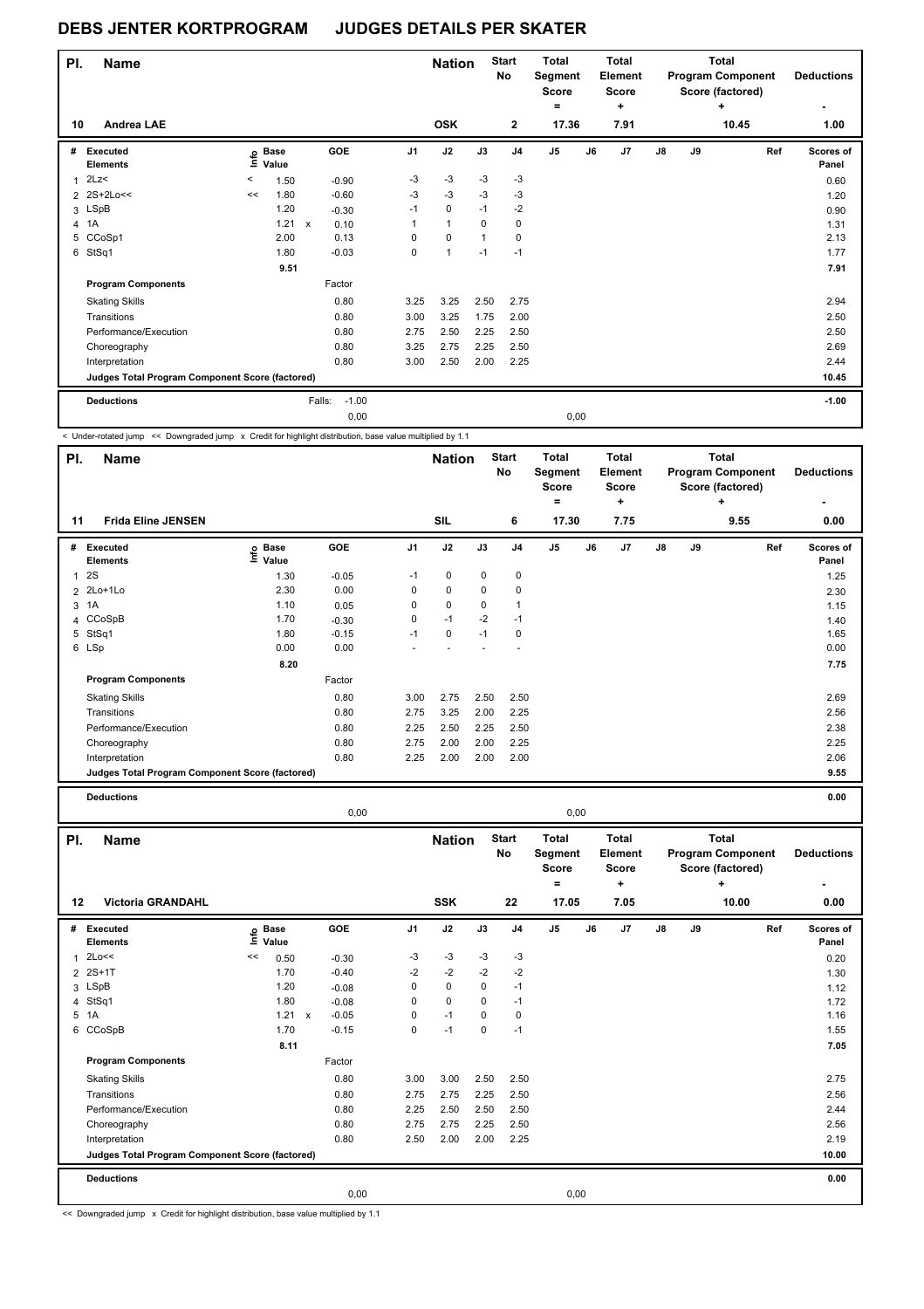| PI. | <b>Name</b>                                     |    |                      |              |            |                | <b>Nation</b> |          | <b>Start</b><br>No | <b>Total</b><br>Segment<br><b>Score</b><br>$\equiv$ |      | Total<br>Element<br><b>Score</b><br>÷ |    |    | <b>Total</b><br><b>Program Component</b><br>Score (factored)<br>÷ | <b>Deductions</b><br>۰ |
|-----|-------------------------------------------------|----|----------------------|--------------|------------|----------------|---------------|----------|--------------------|-----------------------------------------------------|------|---------------------------------------|----|----|-------------------------------------------------------------------|------------------------|
| 10  | <b>Andrea LAE</b>                               |    |                      |              |            |                | <b>OSK</b>    |          | $\mathbf 2$        | 17.36                                               |      | 7.91                                  |    |    | 10.45                                                             | 1.00                   |
| #   | Executed<br><b>Elements</b>                     | ١m | <b>Base</b><br>Value |              | <b>GOE</b> | J <sub>1</sub> | J2            | J3       | J <sub>4</sub>     | J5                                                  | J6   | J7                                    | J8 | J9 | Ref                                                               | Scores of<br>Panel     |
| 1   | 2Lz                                             | <  | 1.50                 |              | $-0.90$    | $-3$           | $-3$          | $-3$     | $-3$               |                                                     |      |                                       |    |    |                                                                   | 0.60                   |
|     | 2 2S+2Lo<<                                      | << | 1.80                 |              | $-0.60$    | $-3$           | $-3$          | $-3$     | $-3$               |                                                     |      |                                       |    |    |                                                                   | 1.20                   |
|     | 3 LSpB                                          |    | 1.20                 |              | $-0.30$    | $-1$           | 0             | $-1$     | $-2$               |                                                     |      |                                       |    |    |                                                                   | 0.90                   |
|     | 4 1A                                            |    | 1.21                 | $\mathsf{x}$ | 0.10       | 1              | $\mathbf{1}$  | $\Omega$ | 0                  |                                                     |      |                                       |    |    |                                                                   | 1.31                   |
|     | 5 CCoSp1                                        |    | 2.00                 |              | 0.13       | $\Omega$       | 0             | 1        | $\Omega$           |                                                     |      |                                       |    |    |                                                                   | 2.13                   |
| 6   | StSq1                                           |    | 1.80                 |              | $-0.03$    | 0              | $\mathbf{1}$  | $-1$     | $-1$               |                                                     |      |                                       |    |    |                                                                   | 1.77                   |
|     |                                                 |    | 9.51                 |              |            |                |               |          |                    |                                                     |      |                                       |    |    |                                                                   | 7.91                   |
|     | <b>Program Components</b>                       |    |                      |              | Factor     |                |               |          |                    |                                                     |      |                                       |    |    |                                                                   |                        |
|     | <b>Skating Skills</b>                           |    |                      |              | 0.80       | 3.25           | 3.25          | 2.50     | 2.75               |                                                     |      |                                       |    |    |                                                                   | 2.94                   |
|     | Transitions                                     |    |                      |              | 0.80       | 3.00           | 3.25          | 1.75     | 2.00               |                                                     |      |                                       |    |    |                                                                   | 2.50                   |
|     | Performance/Execution                           |    |                      |              | 0.80       | 2.75           | 2.50          | 2.25     | 2.50               |                                                     |      |                                       |    |    |                                                                   | 2.50                   |
|     | Choreography                                    |    |                      |              | 0.80       | 3.25           | 2.75          | 2.25     | 2.50               |                                                     |      |                                       |    |    |                                                                   | 2.69                   |
|     | Interpretation                                  |    |                      |              | 0.80       | 3.00           | 2.50          | 2.00     | 2.25               |                                                     |      |                                       |    |    |                                                                   | 2.44                   |
|     | Judges Total Program Component Score (factored) |    |                      |              |            |                |               |          |                    |                                                     |      |                                       |    |    |                                                                   | 10.45                  |
|     | <b>Deductions</b>                               |    |                      | Falls:       | $-1.00$    |                |               |          |                    |                                                     |      |                                       |    |    |                                                                   | $-1.00$                |
|     |                                                 |    |                      |              | 0,00       |                |               |          |                    |                                                     | 0,00 |                                       |    |    |                                                                   |                        |

< Under-rotated jump << Downgraded jump x Credit for highlight distribution, base value multiplied by 1.1

| PI.         | <b>Name</b>                                     |                   |         |                | <b>Nation</b> |      | <b>Start</b><br>No | <b>Total</b><br>Segment<br><b>Score</b><br>$=$ |    | Total<br>Element<br><b>Score</b><br>٠ |               |    | <b>Total</b><br><b>Program Component</b><br>Score (factored)<br>٠ | <b>Deductions</b><br>۰ |
|-------------|-------------------------------------------------|-------------------|---------|----------------|---------------|------|--------------------|------------------------------------------------|----|---------------------------------------|---------------|----|-------------------------------------------------------------------|------------------------|
| 11          | <b>Frida Eline JENSEN</b>                       |                   |         |                | <b>SIL</b>    |      | 6                  | 17.30                                          |    | 7.75                                  |               |    | 9.55                                                              | 0.00                   |
| #           | <b>Executed</b><br><b>Elements</b>              | e Base<br>⊆ Value | GOE     | J <sub>1</sub> | J2            | J3   | J <sub>4</sub>     | J <sub>5</sub>                                 | J6 | J7                                    | $\mathsf{J}8$ | J9 | Ref                                                               | Scores of<br>Panel     |
| $\mathbf 1$ | 2S                                              | 1.30              | $-0.05$ | $-1$           | 0             | 0    | 0                  |                                                |    |                                       |               |    |                                                                   | 1.25                   |
|             | 2 2Lo+1Lo                                       | 2.30              | 0.00    | 0              | 0             | 0    | 0                  |                                                |    |                                       |               |    |                                                                   | 2.30                   |
|             | 3 1A                                            | 1.10              | 0.05    | 0              | $\mathbf 0$   | 0    | 1                  |                                                |    |                                       |               |    |                                                                   | 1.15                   |
|             | 4 CCoSpB                                        | 1.70              | $-0.30$ | 0              | $-1$          | $-2$ | $-1$               |                                                |    |                                       |               |    |                                                                   | 1.40                   |
|             | 5 StSq1                                         | 1.80              | $-0.15$ | $-1$           | 0             | $-1$ | 0                  |                                                |    |                                       |               |    |                                                                   | 1.65                   |
|             | 6 LSp                                           | 0.00              | 0.00    |                |               |      |                    |                                                |    |                                       |               |    |                                                                   | 0.00                   |
|             |                                                 | 8.20              |         |                |               |      |                    |                                                |    |                                       |               |    |                                                                   | 7.75                   |
|             | <b>Program Components</b>                       |                   | Factor  |                |               |      |                    |                                                |    |                                       |               |    |                                                                   |                        |
|             | <b>Skating Skills</b>                           |                   | 0.80    | 3.00           | 2.75          | 2.50 | 2.50               |                                                |    |                                       |               |    |                                                                   | 2.69                   |
|             | Transitions                                     |                   | 0.80    | 2.75           | 3.25          | 2.00 | 2.25               |                                                |    |                                       |               |    |                                                                   | 2.56                   |
|             | Performance/Execution                           |                   | 0.80    | 2.25           | 2.50          | 2.25 | 2.50               |                                                |    |                                       |               |    |                                                                   | 2.38                   |
|             | Choreography                                    |                   | 0.80    | 2.75           | 2.00          | 2.00 | 2.25               |                                                |    |                                       |               |    |                                                                   | 2.25                   |
|             | Interpretation                                  |                   | 0.80    | 2.25           | 2.00          | 2.00 | 2.00               |                                                |    |                                       |               |    |                                                                   | 2.06                   |
|             | Judges Total Program Component Score (factored) |                   |         |                |               |      |                    |                                                |    |                                       |               |    |                                                                   | 9.55                   |

**Deductions 0.00**

|              |                                                 |    |                            | 0,00    |                |                             |          |                          |                                                | 0,00 |                                               |    |    |                                                                            |                           |
|--------------|-------------------------------------------------|----|----------------------------|---------|----------------|-----------------------------|----------|--------------------------|------------------------------------------------|------|-----------------------------------------------|----|----|----------------------------------------------------------------------------|---------------------------|
| PI.<br>12    | <b>Name</b><br><b>Victoria GRANDAHL</b>         |    |                            |         |                | <b>Nation</b><br><b>SSK</b> |          | <b>Start</b><br>No<br>22 | Total<br>Segment<br><b>Score</b><br>Ξ<br>17.05 |      | Total<br>Element<br><b>Score</b><br>÷<br>7.05 |    |    | <b>Total</b><br><b>Program Component</b><br>Score (factored)<br>٠<br>10.00 | <b>Deductions</b><br>0.00 |
| #            | Executed<br><b>Elements</b>                     |    | e Base<br>E Value<br>Value | GOE     | J <sub>1</sub> | J2                          | J3       | J <sub>4</sub>           | J <sub>5</sub>                                 | J6   | J <sub>7</sub>                                | J8 | J9 | Ref                                                                        | Scores of<br>Panel        |
| $\mathbf{1}$ | 2Lo<<                                           | << | 0.50                       | $-0.30$ | -3             | $-3$                        | $-3$     | $-3$                     |                                                |      |                                               |    |    |                                                                            | 0.20                      |
|              | 2 2S+1T                                         |    | 1.70                       | $-0.40$ | $-2$           | $-2$                        | $-2$     | $-2$                     |                                                |      |                                               |    |    |                                                                            | 1.30                      |
|              | 3 LSpB                                          |    | 1.20                       | $-0.08$ | 0              | $\mathbf 0$                 | 0        | $-1$                     |                                                |      |                                               |    |    |                                                                            | 1.12                      |
|              | 4 StSq1                                         |    | 1.80                       | $-0.08$ | 0              | $\mathbf 0$                 | 0        | $-1$                     |                                                |      |                                               |    |    |                                                                            | 1.72                      |
| 5            | 1A                                              |    | $1.21 \times$              | $-0.05$ | 0              | $-1$                        | $\Omega$ | $\mathbf 0$              |                                                |      |                                               |    |    |                                                                            | 1.16                      |
| 6            | CCoSpB                                          |    | 1.70                       | $-0.15$ | 0              | $-1$                        | 0        | $-1$                     |                                                |      |                                               |    |    |                                                                            | 1.55                      |
|              |                                                 |    | 8.11                       |         |                |                             |          |                          |                                                |      |                                               |    |    |                                                                            | 7.05                      |
|              | <b>Program Components</b>                       |    |                            | Factor  |                |                             |          |                          |                                                |      |                                               |    |    |                                                                            |                           |
|              | <b>Skating Skills</b>                           |    |                            | 0.80    | 3.00           | 3.00                        | 2.50     | 2.50                     |                                                |      |                                               |    |    |                                                                            | 2.75                      |
|              | Transitions                                     |    |                            | 0.80    | 2.75           | 2.75                        | 2.25     | 2.50                     |                                                |      |                                               |    |    |                                                                            | 2.56                      |
|              | Performance/Execution                           |    |                            | 0.80    | 2.25           | 2.50                        | 2.50     | 2.50                     |                                                |      |                                               |    |    |                                                                            | 2.44                      |
|              | Choreography                                    |    |                            | 0.80    | 2.75           | 2.75                        | 2.25     | 2.50                     |                                                |      |                                               |    |    |                                                                            | 2.56                      |
|              | Interpretation                                  |    |                            | 0.80    | 2.50           | 2.00                        | 2.00     | 2.25                     |                                                |      |                                               |    |    |                                                                            | 2.19                      |
|              | Judges Total Program Component Score (factored) |    |                            |         |                |                             |          |                          |                                                |      |                                               |    |    |                                                                            | 10.00                     |
|              | <b>Deductions</b>                               |    |                            |         |                |                             |          |                          |                                                |      |                                               |    |    |                                                                            | 0.00                      |
|              |                                                 |    |                            | 0,00    |                |                             |          |                          |                                                | 0,00 |                                               |    |    |                                                                            |                           |

<< Downgraded jump x Credit for highlight distribution, base value multiplied by 1.1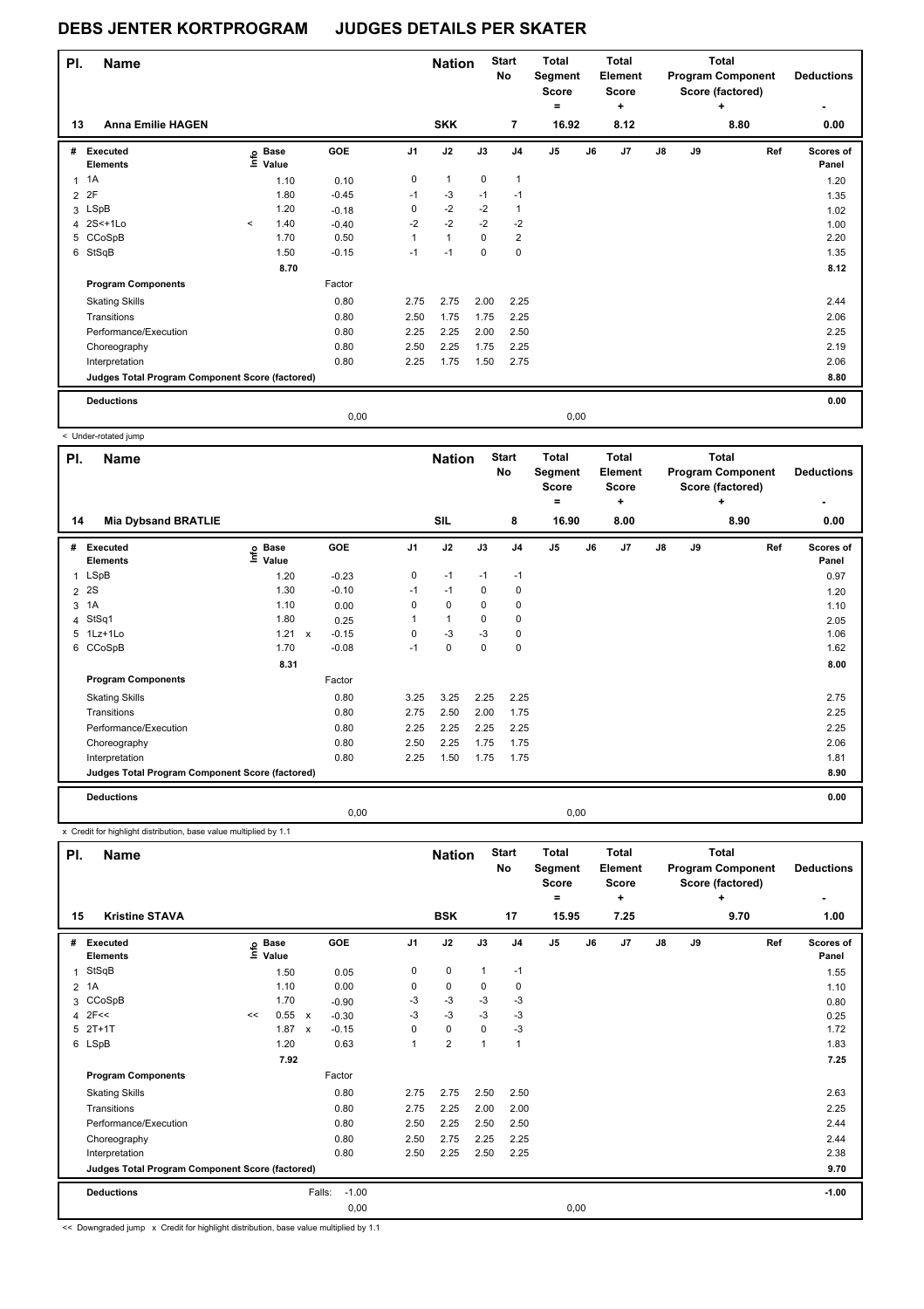| PI.            | <b>Name</b>                                     |         |                   |         |                | <b>Nation</b> |             | <b>Start</b><br>No | <b>Total</b><br>Segment<br><b>Score</b><br>$=$ |      | <b>Total</b><br><b>Element</b><br><b>Score</b><br>٠ |               |    | <b>Total</b><br><b>Program Component</b><br>Score (factored)<br>٠ | <b>Deductions</b>  |
|----------------|-------------------------------------------------|---------|-------------------|---------|----------------|---------------|-------------|--------------------|------------------------------------------------|------|-----------------------------------------------------|---------------|----|-------------------------------------------------------------------|--------------------|
| 13             | <b>Anna Emilie HAGEN</b>                        |         |                   |         |                | <b>SKK</b>    |             | $\overline{7}$     | 16.92                                          |      | 8.12                                                |               |    | 8.80                                                              | 0.00               |
| #              | Executed<br><b>Elements</b>                     |         | e Base<br>E Value | GOE     | J <sub>1</sub> | J2            | J3          | J <sub>4</sub>     | J <sub>5</sub>                                 | J6   | J <sub>7</sub>                                      | $\mathsf{J}8$ | J9 | Ref                                                               | Scores of<br>Panel |
| $\mathbf{1}$   | 1A                                              |         | 1.10              | 0.10    | 0              | $\mathbf{1}$  | 0           | 1                  |                                                |      |                                                     |               |    |                                                                   | 1.20               |
| $\overline{2}$ | 2F                                              |         | 1.80              | $-0.45$ | $-1$           | $-3$          | $-1$        | $-1$               |                                                |      |                                                     |               |    |                                                                   | 1.35               |
|                | 3 LSpB                                          |         | 1.20              | $-0.18$ | 0              | $-2$          | $-2$        | 1                  |                                                |      |                                                     |               |    |                                                                   | 1.02               |
|                | 4 2S<+1Lo                                       | $\prec$ | 1.40              | $-0.40$ | $-2$           | $-2$          | $-2$        | $-2$               |                                                |      |                                                     |               |    |                                                                   | 1.00               |
|                | 5 CCoSpB                                        |         | 1.70              | 0.50    | $\mathbf{1}$   | $\mathbf{1}$  | $\mathbf 0$ | $\overline{2}$     |                                                |      |                                                     |               |    |                                                                   | 2.20               |
|                | 6 StSqB                                         |         | 1.50              | $-0.15$ | $-1$           | $-1$          | 0           | 0                  |                                                |      |                                                     |               |    |                                                                   | 1.35               |
|                |                                                 |         | 8.70              |         |                |               |             |                    |                                                |      |                                                     |               |    |                                                                   | 8.12               |
|                | <b>Program Components</b>                       |         |                   | Factor  |                |               |             |                    |                                                |      |                                                     |               |    |                                                                   |                    |
|                | <b>Skating Skills</b>                           |         |                   | 0.80    | 2.75           | 2.75          | 2.00        | 2.25               |                                                |      |                                                     |               |    |                                                                   | 2.44               |
|                | Transitions                                     |         |                   | 0.80    | 2.50           | 1.75          | 1.75        | 2.25               |                                                |      |                                                     |               |    |                                                                   | 2.06               |
|                | Performance/Execution                           |         |                   | 0.80    | 2.25           | 2.25          | 2.00        | 2.50               |                                                |      |                                                     |               |    |                                                                   | 2.25               |
|                | Choreography                                    |         |                   | 0.80    | 2.50           | 2.25          | 1.75        | 2.25               |                                                |      |                                                     |               |    |                                                                   | 2.19               |
|                | Interpretation                                  |         |                   | 0.80    | 2.25           | 1.75          | 1.50        | 2.75               |                                                |      |                                                     |               |    |                                                                   | 2.06               |
|                | Judges Total Program Component Score (factored) |         |                   |         |                |               |             |                    |                                                |      |                                                     |               |    |                                                                   | 8.80               |
|                | <b>Deductions</b>                               |         |                   |         |                |               |             |                    |                                                |      |                                                     |               |    |                                                                   | 0.00               |
|                |                                                 |         |                   | 0.00    |                |               |             |                    |                                                | 0,00 |                                                     |               |    |                                                                   |                    |

|              | < Under-rotated jump                            |                              |                           |         |                |                             |             |                                |                                              |       |                                                             |               |    |                                                                    |     |                                |
|--------------|-------------------------------------------------|------------------------------|---------------------------|---------|----------------|-----------------------------|-------------|--------------------------------|----------------------------------------------|-------|-------------------------------------------------------------|---------------|----|--------------------------------------------------------------------|-----|--------------------------------|
| PI.<br>14    | <b>Name</b><br><b>Mia Dybsand BRATLIE</b>       |                              |                           |         |                | <b>Nation</b><br><b>SIL</b> |             | <b>Start</b><br><b>No</b><br>8 | <b>Total</b><br>Segment<br><b>Score</b><br>۰ | 16.90 | <b>Total</b><br><b>Element</b><br><b>Score</b><br>÷<br>8.00 |               |    | Total<br><b>Program Component</b><br>Score (factored)<br>÷<br>8.90 |     | <b>Deductions</b><br>٠<br>0.00 |
|              |                                                 |                              |                           |         |                |                             |             |                                |                                              |       |                                                             |               |    |                                                                    |     |                                |
| #            | <b>Executed</b><br><b>Elements</b>              | <b>Base</b><br>lnfo<br>Value |                           | GOE     | J <sub>1</sub> | J2                          | J3          | J <sub>4</sub>                 | J <sub>5</sub>                               | J6    | J7                                                          | $\mathsf{J}8$ | J9 |                                                                    | Ref | Scores of<br>Panel             |
| $\mathbf{1}$ | LSpB                                            | 1.20                         |                           | $-0.23$ | 0              | $-1$                        | $-1$        | $-1$                           |                                              |       |                                                             |               |    |                                                                    |     | 0.97                           |
| 2            | 2S                                              | 1.30                         |                           | $-0.10$ | $-1$           | $-1$                        | 0           | 0                              |                                              |       |                                                             |               |    |                                                                    |     | 1.20                           |
| 3            | 1A                                              | 1.10                         |                           | 0.00    | 0              | $\mathbf 0$                 | $\Omega$    | 0                              |                                              |       |                                                             |               |    |                                                                    |     | 1.10                           |
| 4            | StSq1                                           | 1.80                         |                           | 0.25    | 1              | $\mathbf{1}$                | $\mathbf 0$ | 0                              |                                              |       |                                                             |               |    |                                                                    |     | 2.05                           |
| 5            | $1Lz+1Lo$                                       | 1.21                         | $\boldsymbol{\mathsf{x}}$ | $-0.15$ | 0              | $-3$                        | $-3$        | 0                              |                                              |       |                                                             |               |    |                                                                    |     | 1.06                           |
|              | 6 CCoSpB                                        | 1.70                         |                           | $-0.08$ | $-1$           | $\mathbf 0$                 | $\mathbf 0$ | $\mathbf 0$                    |                                              |       |                                                             |               |    |                                                                    |     | 1.62                           |
|              |                                                 | 8.31                         |                           |         |                |                             |             |                                |                                              |       |                                                             |               |    |                                                                    |     | 8.00                           |
|              | <b>Program Components</b>                       |                              |                           | Factor  |                |                             |             |                                |                                              |       |                                                             |               |    |                                                                    |     |                                |
|              | <b>Skating Skills</b>                           |                              |                           | 0.80    | 3.25           | 3.25                        | 2.25        | 2.25                           |                                              |       |                                                             |               |    |                                                                    |     | 2.75                           |
|              | Transitions                                     |                              |                           | 0.80    | 2.75           | 2.50                        | 2.00        | 1.75                           |                                              |       |                                                             |               |    |                                                                    |     | 2.25                           |
|              | Performance/Execution                           |                              |                           | 0.80    | 2.25           | 2.25                        | 2.25        | 2.25                           |                                              |       |                                                             |               |    |                                                                    |     | 2.25                           |
|              | Choreography                                    |                              |                           | 0.80    | 2.50           | 2.25                        | 1.75        | 1.75                           |                                              |       |                                                             |               |    |                                                                    |     | 2.06                           |
|              | Interpretation                                  |                              |                           | 0.80    | 2.25           | 1.50                        | 1.75        | 1.75                           |                                              |       |                                                             |               |    |                                                                    |     | 1.81                           |
|              | Judges Total Program Component Score (factored) |                              |                           |         |                |                             |             |                                |                                              |       |                                                             |               |    |                                                                    |     | 8.90                           |
|              | <b>Deductions</b>                               |                              |                           |         |                |                             |             |                                |                                              |       |                                                             |               |    |                                                                    |     | 0.00                           |
|              |                                                 |                              |                           | 0,00    |                |                             |             |                                |                                              | 0,00  |                                                             |               |    |                                                                    |     |                                |

x Credit for highlight distribution, base value multiplied by 1.1

| PI.            | <b>Name</b>                                     | <b>Kristine STAVA</b> |                   |                           |                   |              | <b>Nation</b>           |              | <b>Start</b><br>No | <b>Total</b><br>Segment<br><b>Score</b><br>۰ |      | <b>Total</b><br><b>Element</b><br><b>Score</b><br>÷ |               |    | <b>Total</b><br><b>Program Component</b><br>Score (factored)<br>٠ | <b>Deductions</b>  |
|----------------|-------------------------------------------------|-----------------------|-------------------|---------------------------|-------------------|--------------|-------------------------|--------------|--------------------|----------------------------------------------|------|-----------------------------------------------------|---------------|----|-------------------------------------------------------------------|--------------------|
| 15             |                                                 |                       |                   |                           |                   |              | <b>BSK</b>              |              | 17                 | 15.95                                        |      | 7.25                                                |               |    | 9.70                                                              | 1.00               |
| #              | <b>Executed</b><br><b>Elements</b>              |                       | e Base<br>⊆ Value |                           | GOE               | J1           | J2                      | J3           | J <sub>4</sub>     | J <sub>5</sub>                               | J6   | J7                                                  | $\mathsf{J}8$ | J9 | Ref                                                               | Scores of<br>Panel |
| 1              | StSqB                                           |                       | 1.50              |                           | 0.05              | 0            | $\mathbf 0$             | 1            | $-1$               |                                              |      |                                                     |               |    |                                                                   | 1.55               |
| $\overline{2}$ | 1A                                              |                       | 1.10              |                           | 0.00              | 0            | 0                       | 0            | $\mathbf 0$        |                                              |      |                                                     |               |    |                                                                   | 1.10               |
|                | 3 CCoSpB                                        |                       | 1.70              |                           | $-0.90$           | $-3$         | $-3$                    | $-3$         | $-3$               |                                              |      |                                                     |               |    |                                                                   | 0.80               |
| 4              | 2F<<                                            | <<                    | 0.55              | $\boldsymbol{\mathsf{x}}$ | $-0.30$           | $-3$         | $-3$                    | $-3$         | $-3$               |                                              |      |                                                     |               |    |                                                                   | 0.25               |
|                | $5$ $2T+1T$                                     |                       | 1.87              | $\boldsymbol{\mathsf{x}}$ | $-0.15$           | 0            | $\mathbf 0$             | 0            | $-3$               |                                              |      |                                                     |               |    |                                                                   | 1.72               |
|                | 6 LSpB                                          |                       | 1.20              |                           | 0.63              | $\mathbf{1}$ | $\overline{\mathbf{c}}$ | $\mathbf{1}$ | 1                  |                                              |      |                                                     |               |    |                                                                   | 1.83               |
|                |                                                 |                       | 7.92              |                           |                   |              |                         |              |                    |                                              |      |                                                     |               |    |                                                                   | 7.25               |
|                | <b>Program Components</b>                       |                       |                   |                           | Factor            |              |                         |              |                    |                                              |      |                                                     |               |    |                                                                   |                    |
|                | <b>Skating Skills</b>                           |                       |                   |                           | 0.80              | 2.75         | 2.75                    | 2.50         | 2.50               |                                              |      |                                                     |               |    |                                                                   | 2.63               |
|                | Transitions                                     |                       |                   |                           | 0.80              | 2.75         | 2.25                    | 2.00         | 2.00               |                                              |      |                                                     |               |    |                                                                   | 2.25               |
|                | Performance/Execution                           |                       |                   |                           | 0.80              | 2.50         | 2.25                    | 2.50         | 2.50               |                                              |      |                                                     |               |    |                                                                   | 2.44               |
|                | Choreography                                    |                       |                   |                           | 0.80              | 2.50         | 2.75                    | 2.25         | 2.25               |                                              |      |                                                     |               |    |                                                                   | 2.44               |
|                | Interpretation                                  |                       |                   |                           | 0.80              | 2.50         | 2.25                    | 2.50         | 2.25               |                                              |      |                                                     |               |    |                                                                   | 2.38               |
|                | Judges Total Program Component Score (factored) |                       |                   |                           |                   |              |                         |              |                    |                                              |      |                                                     |               |    |                                                                   | 9.70               |
|                | <b>Deductions</b>                               |                       |                   |                           | $-1.00$<br>Falls: |              |                         |              |                    |                                              |      |                                                     |               |    |                                                                   | $-1.00$            |
|                |                                                 |                       |                   |                           | 0,00              |              |                         |              |                    |                                              | 0,00 |                                                     |               |    |                                                                   |                    |

<< Downgraded jump x Credit for highlight distribution, base value multiplied by 1.1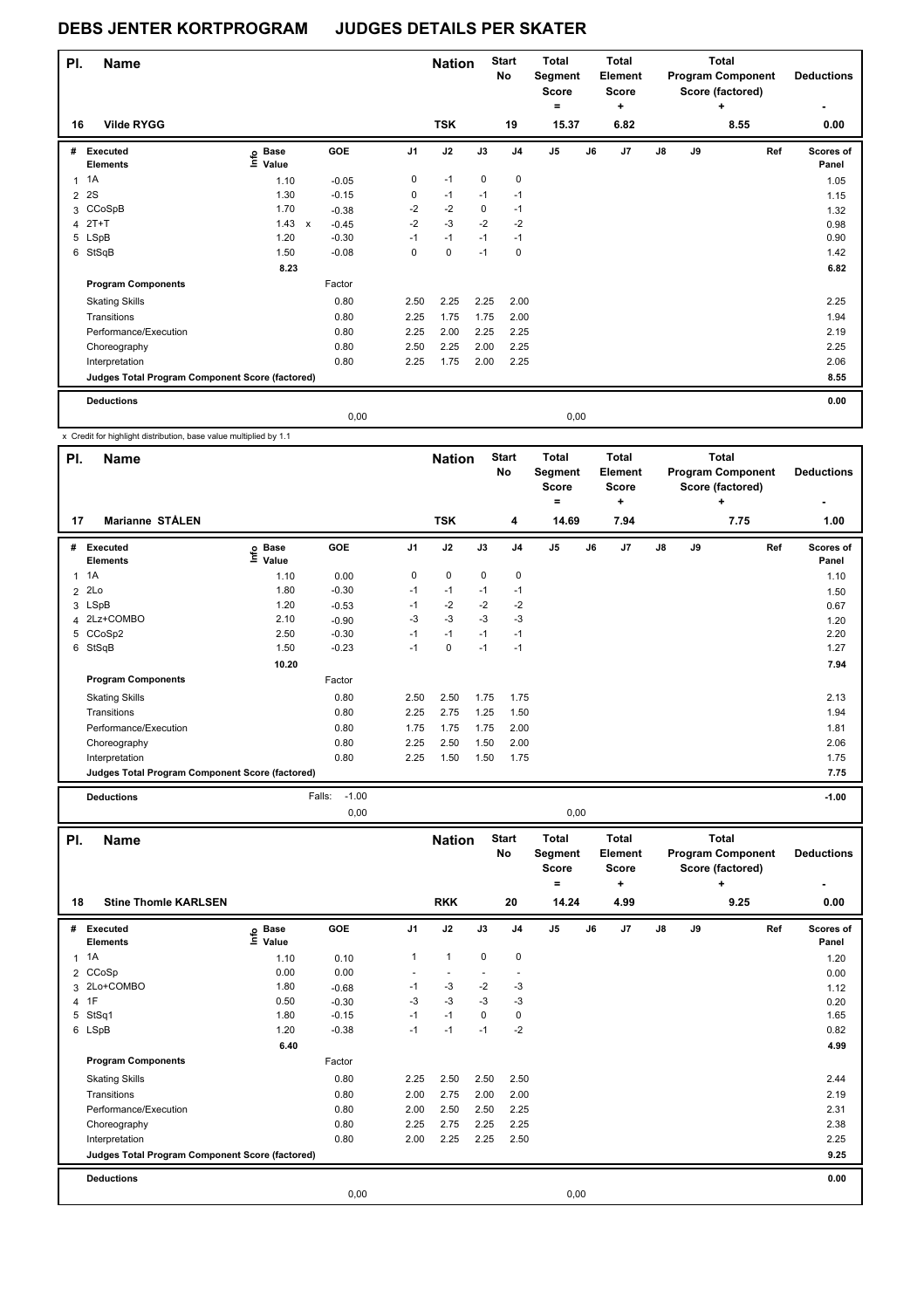| PI.            | <b>Name</b><br><b>Vilde RYGG</b>                |                   |              |         |                | <b>Nation</b> |      | <b>Start</b><br>No | <b>Total</b><br>Segment<br><b>Score</b><br>۰ |      | Total<br>Element<br><b>Score</b><br>٠ |               |    | <b>Total</b><br><b>Program Component</b><br>Score (factored)<br>÷ | <b>Deductions</b>  |
|----------------|-------------------------------------------------|-------------------|--------------|---------|----------------|---------------|------|--------------------|----------------------------------------------|------|---------------------------------------|---------------|----|-------------------------------------------------------------------|--------------------|
| 16             |                                                 |                   |              |         |                | <b>TSK</b>    |      | 19                 | 15.37                                        |      | 6.82                                  |               |    | 8.55                                                              | 0.00               |
| #              | Executed<br><b>Elements</b>                     | e Base<br>E Value |              | GOE     | J <sub>1</sub> | J2            | J3   | J <sub>4</sub>     | J5                                           | J6   | J7                                    | $\mathsf{J}8$ | J9 | Ref                                                               | Scores of<br>Panel |
| $\mathbf{1}$   | 1A                                              | 1.10              |              | $-0.05$ | 0              | $-1$          | 0    | 0                  |                                              |      |                                       |               |    |                                                                   | 1.05               |
| $\overline{2}$ | 2S                                              | 1.30              |              | $-0.15$ | 0              | $-1$          | $-1$ | $-1$               |                                              |      |                                       |               |    |                                                                   | 1.15               |
|                | 3 CCoSpB                                        | 1.70              |              | $-0.38$ | $-2$           | $-2$          | 0    | $-1$               |                                              |      |                                       |               |    |                                                                   | 1.32               |
|                | 4 2T+T                                          | 1.43              | $\mathsf{x}$ | $-0.45$ | $-2$           | $-3$          | $-2$ | $-2$               |                                              |      |                                       |               |    |                                                                   | 0.98               |
|                | 5 LSpB                                          | 1.20              |              | $-0.30$ | $-1$           | $-1$          | $-1$ | $-1$               |                                              |      |                                       |               |    |                                                                   | 0.90               |
| 6              | StSqB                                           | 1.50              |              | $-0.08$ | 0              | 0             | $-1$ | 0                  |                                              |      |                                       |               |    |                                                                   | 1.42               |
|                |                                                 | 8.23              |              |         |                |               |      |                    |                                              |      |                                       |               |    |                                                                   | 6.82               |
|                | <b>Program Components</b>                       |                   |              | Factor  |                |               |      |                    |                                              |      |                                       |               |    |                                                                   |                    |
|                | <b>Skating Skills</b>                           |                   |              | 0.80    | 2.50           | 2.25          | 2.25 | 2.00               |                                              |      |                                       |               |    |                                                                   | 2.25               |
|                | Transitions                                     |                   |              | 0.80    | 2.25           | 1.75          | 1.75 | 2.00               |                                              |      |                                       |               |    |                                                                   | 1.94               |
|                | Performance/Execution                           |                   |              | 0.80    | 2.25           | 2.00          | 2.25 | 2.25               |                                              |      |                                       |               |    |                                                                   | 2.19               |
|                | Choreography                                    |                   |              | 0.80    | 2.50           | 2.25          | 2.00 | 2.25               |                                              |      |                                       |               |    |                                                                   | 2.25               |
|                | Interpretation                                  |                   |              | 0.80    | 2.25           | 1.75          | 2.00 | 2.25               |                                              |      |                                       |               |    |                                                                   | 2.06               |
|                | Judges Total Program Component Score (factored) |                   |              |         |                |               |      |                    |                                              |      |                                       |               |    |                                                                   | 8.55               |
|                | <b>Deductions</b>                               |                   |              |         |                |               |      |                    |                                              |      |                                       |               |    |                                                                   | 0.00               |
|                |                                                 |                   |              | 0.00    |                |               |      |                    |                                              | 0,00 |                                       |               |    |                                                                   |                    |

x Credit for highlight distribution, base value multiplied by 1.1

| PI. | <b>Name</b>                                     |                                                                                |                   |                | <b>Nation</b> |             | <b>Start</b><br>No | <b>Total</b><br>Segment<br><b>Score</b><br>$=$ |    | <b>Total</b><br>Element<br><b>Score</b><br>÷ |    |    | <b>Total</b><br><b>Program Component</b><br>Score (factored)<br>٠ | <b>Deductions</b>  |
|-----|-------------------------------------------------|--------------------------------------------------------------------------------|-------------------|----------------|---------------|-------------|--------------------|------------------------------------------------|----|----------------------------------------------|----|----|-------------------------------------------------------------------|--------------------|
| 17  | <b>Marianne STÅLEN</b>                          |                                                                                |                   |                | <b>TSK</b>    |             | 4                  | 14.69                                          |    | 7.94                                         |    |    | 7.75                                                              | 1.00               |
| #   | Executed<br><b>Elements</b>                     | $\overset{\circ}{\text{E}}$ Base<br>$\overset{\circ}{\text{E}}$ Value<br>Value | GOE               | J <sub>1</sub> | J2            | J3          | J <sub>4</sub>     | J <sub>5</sub>                                 | J6 | J7                                           | J8 | J9 | Ref                                                               | Scores of<br>Panel |
|     | $1 \t1A$                                        | 1.10                                                                           | 0.00              | 0              | 0             | $\mathbf 0$ | 0                  |                                                |    |                                              |    |    |                                                                   | 1.10               |
|     | $2$ $2Lo$                                       | 1.80                                                                           | $-0.30$           | $-1$           | $-1$          | $-1$        | $-1$               |                                                |    |                                              |    |    |                                                                   | 1.50               |
|     | 3 LSpB                                          | 1.20                                                                           | $-0.53$           | $-1$           | $-2$          | $-2$        | $-2$               |                                                |    |                                              |    |    |                                                                   | 0.67               |
|     | 4 2Lz+COMBO                                     | 2.10                                                                           | $-0.90$           | -3             | $-3$          | $-3$        | $-3$               |                                                |    |                                              |    |    |                                                                   | 1.20               |
|     | 5 CCoSp2                                        | 2.50                                                                           | $-0.30$           | $-1$           | $-1$          | $-1$        | $-1$               |                                                |    |                                              |    |    |                                                                   | 2.20               |
|     | 6 StSqB                                         | 1.50                                                                           | $-0.23$           | $-1$           | 0             | $-1$        | $-1$               |                                                |    |                                              |    |    |                                                                   | 1.27               |
|     |                                                 | 10.20                                                                          |                   |                |               |             |                    |                                                |    |                                              |    |    |                                                                   | 7.94               |
|     | <b>Program Components</b>                       |                                                                                | Factor            |                |               |             |                    |                                                |    |                                              |    |    |                                                                   |                    |
|     | <b>Skating Skills</b>                           |                                                                                | 0.80              | 2.50           | 2.50          | 1.75        | 1.75               |                                                |    |                                              |    |    |                                                                   | 2.13               |
|     | Transitions                                     |                                                                                | 0.80              | 2.25           | 2.75          | 1.25        | 1.50               |                                                |    |                                              |    |    |                                                                   | 1.94               |
|     | Performance/Execution                           |                                                                                | 0.80              | 1.75           | 1.75          | 1.75        | 2.00               |                                                |    |                                              |    |    |                                                                   | 1.81               |
|     | Choreography                                    |                                                                                | 0.80              | 2.25           | 2.50          | 1.50        | 2.00               |                                                |    |                                              |    |    |                                                                   | 2.06               |
|     | Interpretation                                  |                                                                                | 0.80              | 2.25           | 1.50          | 1.50        | 1.75               |                                                |    |                                              |    |    |                                                                   | 1.75               |
|     | Judges Total Program Component Score (factored) |                                                                                |                   |                |               |             |                    |                                                |    |                                              |    |    |                                                                   | 7.75               |
|     | <b>Deductions</b>                               |                                                                                | $-1.00$<br>Falls: |                |               |             |                    |                                                |    |                                              |    |    |                                                                   | $-1.00$            |

0,00 0,00

| PI.          | <b>Name</b>                                     |                            |            |                | <b>Nation</b> |             | <b>Start</b><br>No | <b>Total</b><br>Segment<br><b>Score</b><br>٠ |    | <b>Total</b><br><b>Element</b><br><b>Score</b><br>÷ |               |    | <b>Total</b><br><b>Program Component</b><br>Score (factored)<br>٠ | <b>Deductions</b>         |
|--------------|-------------------------------------------------|----------------------------|------------|----------------|---------------|-------------|--------------------|----------------------------------------------|----|-----------------------------------------------------|---------------|----|-------------------------------------------------------------------|---------------------------|
| 18           | <b>Stine Thomle KARLSEN</b>                     |                            |            |                | <b>RKK</b>    |             | 20                 | 14.24                                        |    | 4.99                                                |               |    | 9.25                                                              | 0.00                      |
| #            | Executed<br><b>Elements</b>                     | e Base<br>E Value<br>Value | <b>GOE</b> | J <sub>1</sub> | J2            | J3          | J <sub>4</sub>     | J5                                           | J6 | J <sub>7</sub>                                      | $\mathsf{J}8$ | J9 | Ref                                                               | <b>Scores of</b><br>Panel |
| $\mathbf{1}$ | 1A                                              | 1.10                       | 0.10       | $\mathbf{1}$   | $\mathbf{1}$  | $\mathbf 0$ | $\mathbf 0$        |                                              |    |                                                     |               |    |                                                                   | 1.20                      |
|              | 2 CCoSp                                         | 0.00                       | 0.00       | ٠              |               |             |                    |                                              |    |                                                     |               |    |                                                                   | 0.00                      |
|              | 3 2Lo+COMBO                                     | 1.80                       | $-0.68$    | $-1$           | $-3$          | $-2$        | -3                 |                                              |    |                                                     |               |    |                                                                   | 1.12                      |
|              | 4 1F                                            | 0.50                       | $-0.30$    | $-3$           | $-3$          | $-3$        | $-3$               |                                              |    |                                                     |               |    |                                                                   | 0.20                      |
| 5            | StSq1                                           | 1.80                       | $-0.15$    | $-1$           | $-1$          | 0           | $\mathbf 0$        |                                              |    |                                                     |               |    |                                                                   | 1.65                      |
|              | 6 LSpB                                          | 1.20                       | $-0.38$    | $-1$           | $-1$          | $-1$        | $-2$               |                                              |    |                                                     |               |    |                                                                   | 0.82                      |
|              |                                                 | 6.40                       |            |                |               |             |                    |                                              |    |                                                     |               |    |                                                                   | 4.99                      |
|              | <b>Program Components</b>                       |                            | Factor     |                |               |             |                    |                                              |    |                                                     |               |    |                                                                   |                           |
|              | <b>Skating Skills</b>                           |                            | 0.80       | 2.25           | 2.50          | 2.50        | 2.50               |                                              |    |                                                     |               |    |                                                                   | 2.44                      |
|              | Transitions                                     |                            | 0.80       | 2.00           | 2.75          | 2.00        | 2.00               |                                              |    |                                                     |               |    |                                                                   | 2.19                      |
|              | Performance/Execution                           |                            | 0.80       | 2.00           | 2.50          | 2.50        | 2.25               |                                              |    |                                                     |               |    |                                                                   | 2.31                      |
|              | Choreography                                    |                            | 0.80       | 2.25           | 2.75          | 2.25        | 2.25               |                                              |    |                                                     |               |    |                                                                   | 2.38                      |
|              | Interpretation                                  |                            | 0.80       | 2.00           | 2.25          | 2.25        | 2.50               |                                              |    |                                                     |               |    |                                                                   | 2.25                      |
|              | Judges Total Program Component Score (factored) |                            |            |                |               |             |                    |                                              |    |                                                     |               |    |                                                                   | 9.25                      |
|              | <b>Deductions</b>                               |                            |            |                |               |             |                    |                                              |    |                                                     |               |    |                                                                   | 0.00                      |
|              |                                                 |                            | 0,00       |                |               |             |                    | 0,00                                         |    |                                                     |               |    |                                                                   |                           |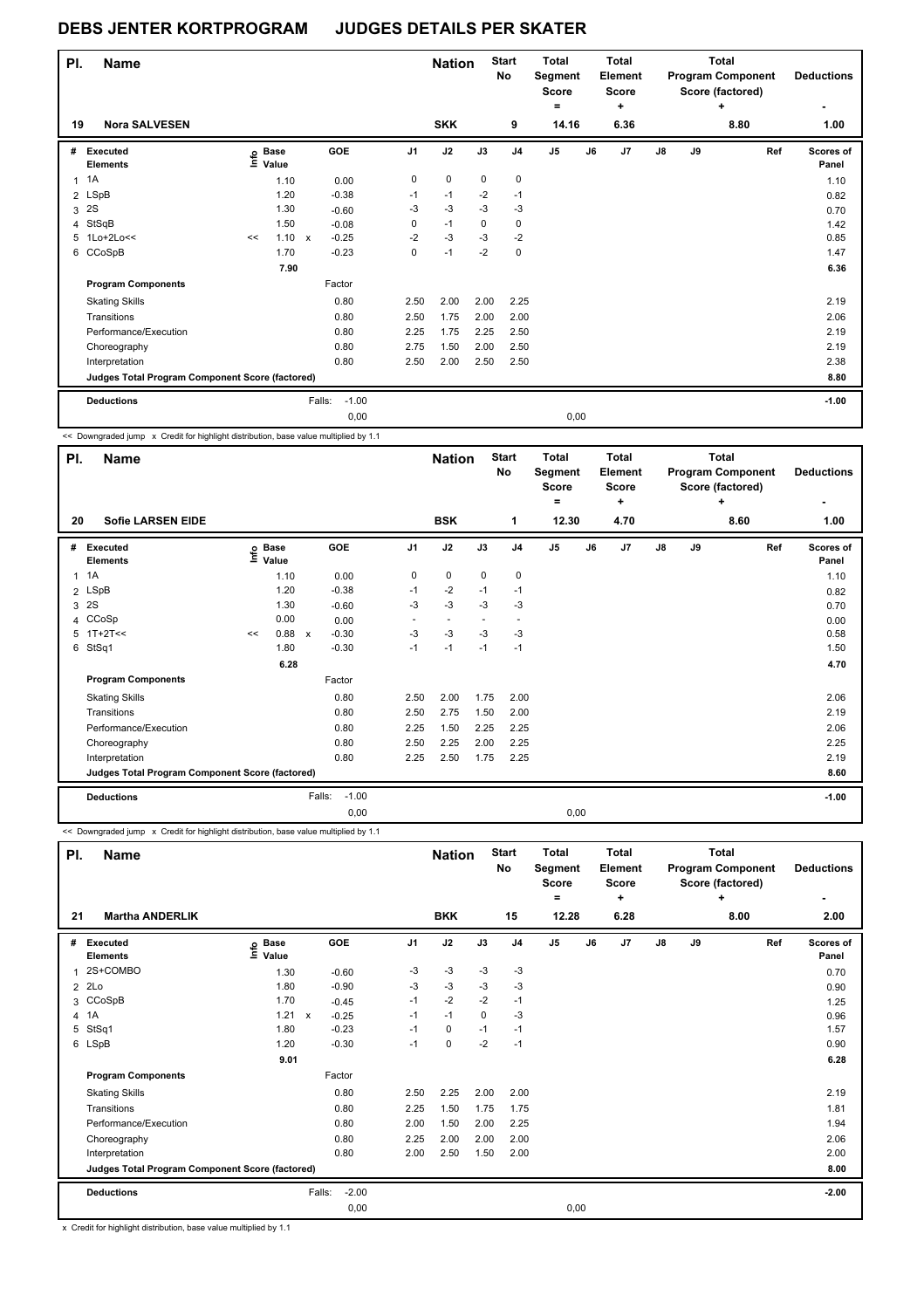|   | PI.<br><b>Name</b><br>19<br><b>Nora SALVESEN</b> |    |                   |                           |         |                | <b>Nation</b> |             | <b>Start</b><br>No | <b>Total</b><br>Segment<br><b>Score</b><br>$=$ |       | <b>Total</b><br><b>Element</b><br><b>Score</b><br>٠ |               |    | <b>Total</b><br><b>Program Component</b><br>Score (factored)<br>٠ | <b>Deductions</b>  |
|---|--------------------------------------------------|----|-------------------|---------------------------|---------|----------------|---------------|-------------|--------------------|------------------------------------------------|-------|-----------------------------------------------------|---------------|----|-------------------------------------------------------------------|--------------------|
|   |                                                  |    |                   |                           |         |                | <b>SKK</b>    |             | 9                  |                                                | 14.16 | 6.36                                                |               |    | 8.80                                                              | 1.00               |
| # | Executed<br><b>Elements</b>                      |    | e Base<br>E Value |                           | GOE     | J <sub>1</sub> | J2            | J3          | J <sub>4</sub>     | J <sub>5</sub>                                 | J6    | J <sub>7</sub>                                      | $\mathsf{J}8$ | J9 | Ref                                                               | Scores of<br>Panel |
| 1 | 1A                                               |    | 1.10              |                           | 0.00    | 0              | $\mathbf 0$   | 0           | 0                  |                                                |       |                                                     |               |    |                                                                   | 1.10               |
|   | 2 LSpB                                           |    | 1.20              |                           | $-0.38$ | $-1$           | $-1$          | $-2$        | $-1$               |                                                |       |                                                     |               |    |                                                                   | 0.82               |
| 3 | 2S                                               |    | 1.30              |                           | $-0.60$ | $-3$           | $-3$          | $-3$        | $-3$               |                                                |       |                                                     |               |    |                                                                   | 0.70               |
| 4 | StSqB                                            |    | 1.50              |                           | $-0.08$ | 0              | $-1$          | $\mathbf 0$ | 0                  |                                                |       |                                                     |               |    |                                                                   | 1.42               |
| 5 | $1$ Lo+ $2$ Lo<<                                 | << | 1.10              | $\boldsymbol{\mathsf{x}}$ | $-0.25$ | $-2$           | $-3$          | $-3$        | $-2$               |                                                |       |                                                     |               |    |                                                                   | 0.85               |
|   | 6 CCoSpB                                         |    | 1.70              |                           | $-0.23$ | 0              | $-1$          | $-2$        | 0                  |                                                |       |                                                     |               |    |                                                                   | 1.47               |
|   |                                                  |    | 7.90              |                           |         |                |               |             |                    |                                                |       |                                                     |               |    |                                                                   | 6.36               |
|   | <b>Program Components</b>                        |    |                   |                           | Factor  |                |               |             |                    |                                                |       |                                                     |               |    |                                                                   |                    |
|   | <b>Skating Skills</b>                            |    |                   |                           | 0.80    | 2.50           | 2.00          | 2.00        | 2.25               |                                                |       |                                                     |               |    |                                                                   | 2.19               |
|   | Transitions                                      |    |                   |                           | 0.80    | 2.50           | 1.75          | 2.00        | 2.00               |                                                |       |                                                     |               |    |                                                                   | 2.06               |
|   | Performance/Execution                            |    |                   |                           | 0.80    | 2.25           | 1.75          | 2.25        | 2.50               |                                                |       |                                                     |               |    |                                                                   | 2.19               |
|   | Choreography                                     |    |                   |                           | 0.80    | 2.75           | 1.50          | 2.00        | 2.50               |                                                |       |                                                     |               |    |                                                                   | 2.19               |
|   | Interpretation                                   |    |                   |                           | 0.80    | 2.50           | 2.00          | 2.50        | 2.50               |                                                |       |                                                     |               |    |                                                                   | 2.38               |
|   | Judges Total Program Component Score (factored)  |    |                   |                           |         |                |               |             |                    |                                                |       |                                                     |               |    |                                                                   | 8.80               |
|   | <b>Deductions</b>                                |    |                   | Falls:                    | $-1.00$ |                |               |             |                    |                                                |       |                                                     |               |    |                                                                   | $-1.00$            |
|   |                                                  |    |                   |                           | 0.00    |                |               |             |                    |                                                | 0.00  |                                                     |               |    |                                                                   |                    |

<< Downgraded jump x Credit for highlight distribution, base value multiplied by 1.1

| PI.         | <b>Name</b>                                     |    |                   |                                      |         |                | <b>Nation</b>            |           | <b>Start</b><br>No       | <b>Total</b><br>Segment<br><b>Score</b><br>= |      | <b>Total</b><br>Element<br><b>Score</b><br>÷ |               |    | <b>Total</b><br><b>Program Component</b><br>Score (factored)<br>÷ | <b>Deductions</b>         |
|-------------|-------------------------------------------------|----|-------------------|--------------------------------------|---------|----------------|--------------------------|-----------|--------------------------|----------------------------------------------|------|----------------------------------------------|---------------|----|-------------------------------------------------------------------|---------------------------|
| 20          | <b>Sofie LARSEN EIDE</b>                        |    |                   |                                      |         |                | <b>BSK</b>               |           | 1                        | 12.30                                        |      | 4.70                                         |               |    | 8.60                                                              | 1.00                      |
| #           | Executed<br><b>Elements</b>                     |    | e Base<br>⊆ Value | GOE                                  |         | J <sub>1</sub> | J2                       | J3        | J <sub>4</sub>           | J <sub>5</sub>                               | J6   | J7                                           | $\mathsf{J}8$ | J9 | Ref                                                               | <b>Scores of</b><br>Panel |
| $\mathbf 1$ | 1A                                              |    | 1.10              | 0.00                                 |         | $\pmb{0}$      | 0                        | $\pmb{0}$ | $\mathbf 0$              |                                              |      |                                              |               |    |                                                                   | 1.10                      |
|             | 2 LSpB                                          |    | 1.20              | $-0.38$                              |         | $-1$           | $-2$                     | $-1$      | $-1$                     |                                              |      |                                              |               |    |                                                                   | 0.82                      |
| 3           | 2S                                              |    | 1.30              | $-0.60$                              |         | $-3$           | $-3$                     | $-3$      | $-3$                     |                                              |      |                                              |               |    |                                                                   | 0.70                      |
|             | 4 CCoSp                                         |    | 0.00              | 0.00                                 |         |                | $\overline{\phantom{a}}$ |           | $\overline{\phantom{a}}$ |                                              |      |                                              |               |    |                                                                   | 0.00                      |
|             | $5$ 1T+2T <<                                    | << | 0.88              | $-0.30$<br>$\boldsymbol{\mathsf{x}}$ |         | $-3$           | $-3$                     | $-3$      | -3                       |                                              |      |                                              |               |    |                                                                   | 0.58                      |
|             | 6 StSq1                                         |    | 1.80              | $-0.30$                              |         | $-1$           | $-1$                     | $-1$      | $-1$                     |                                              |      |                                              |               |    |                                                                   | 1.50                      |
|             |                                                 |    | 6.28              |                                      |         |                |                          |           |                          |                                              |      |                                              |               |    |                                                                   | 4.70                      |
|             | <b>Program Components</b>                       |    |                   | Factor                               |         |                |                          |           |                          |                                              |      |                                              |               |    |                                                                   |                           |
|             | <b>Skating Skills</b>                           |    |                   | 0.80                                 |         | 2.50           | 2.00                     | 1.75      | 2.00                     |                                              |      |                                              |               |    |                                                                   | 2.06                      |
|             | Transitions                                     |    |                   | 0.80                                 |         | 2.50           | 2.75                     | 1.50      | 2.00                     |                                              |      |                                              |               |    |                                                                   | 2.19                      |
|             | Performance/Execution                           |    |                   | 0.80                                 |         | 2.25           | 1.50                     | 2.25      | 2.25                     |                                              |      |                                              |               |    |                                                                   | 2.06                      |
|             | Choreography                                    |    |                   | 0.80                                 |         | 2.50           | 2.25                     | 2.00      | 2.25                     |                                              |      |                                              |               |    |                                                                   | 2.25                      |
|             | Interpretation                                  |    |                   | 0.80                                 |         | 2.25           | 2.50                     | 1.75      | 2.25                     |                                              |      |                                              |               |    |                                                                   | 2.19                      |
|             | Judges Total Program Component Score (factored) |    |                   |                                      |         |                |                          |           |                          |                                              |      |                                              |               |    |                                                                   | 8.60                      |
|             | <b>Deductions</b>                               |    |                   | Falls:                               | $-1.00$ |                |                          |           |                          |                                              |      |                                              |               |    |                                                                   | $-1.00$                   |
|             |                                                 |    |                   |                                      | 0.00    |                |                          |           |                          |                                              | 0.00 |                                              |               |    |                                                                   |                           |

<< Downgraded jump x Credit for highlight distribution, base value multiplied by 1.1

| PI.            | <b>Name</b>                                     |                              |                           |         |                | <b>Nation</b> |      | <b>Start</b><br><b>No</b> | <b>Total</b><br>Segment<br><b>Score</b> |      | <b>Total</b><br>Element<br><b>Score</b> |    |    | Total<br><b>Program Component</b><br>Score (factored) | <b>Deductions</b>  |
|----------------|-------------------------------------------------|------------------------------|---------------------------|---------|----------------|---------------|------|---------------------------|-----------------------------------------|------|-----------------------------------------|----|----|-------------------------------------------------------|--------------------|
|                |                                                 |                              |                           |         |                |               |      |                           | ۰                                       |      | +                                       |    |    | ÷                                                     |                    |
| 21             | <b>Martha ANDERLIK</b>                          |                              |                           |         |                | <b>BKK</b>    |      | 15                        | 12.28                                   |      | 6.28                                    |    |    | 8.00                                                  | 2.00               |
| #              | <b>Executed</b><br><b>Elements</b>              | <b>Base</b><br>lnfo<br>Value |                           | GOE     | J <sub>1</sub> | J2            | J3   | J <sub>4</sub>            | J <sub>5</sub>                          | J6   | J7                                      | J8 | J9 | Ref                                                   | Scores of<br>Panel |
|                | 2S+COMBO                                        | 1.30                         |                           | $-0.60$ | -3             | $-3$          | $-3$ | $-3$                      |                                         |      |                                         |    |    |                                                       | 0.70               |
| $\overline{2}$ | 2Lo                                             | 1.80                         |                           | $-0.90$ | -3             | $-3$          | $-3$ | $-3$                      |                                         |      |                                         |    |    |                                                       | 0.90               |
|                | 3 CCoSpB                                        | 1.70                         |                           | $-0.45$ | $-1$           | $-2$          | $-2$ | $-1$                      |                                         |      |                                         |    |    |                                                       | 1.25               |
| $\overline{4}$ | 1A                                              | 1.21                         | $\boldsymbol{\mathsf{x}}$ | $-0.25$ | $-1$           | $-1$          | 0    | -3                        |                                         |      |                                         |    |    |                                                       | 0.96               |
| 5              | StSq1                                           | 1.80                         |                           | $-0.23$ | $-1$           | 0             | $-1$ | $-1$                      |                                         |      |                                         |    |    |                                                       | 1.57               |
|                | 6 LSpB                                          | 1.20                         |                           | $-0.30$ | $-1$           | $\mathbf 0$   | $-2$ | $-1$                      |                                         |      |                                         |    |    |                                                       | 0.90               |
|                |                                                 | 9.01                         |                           |         |                |               |      |                           |                                         |      |                                         |    |    |                                                       | 6.28               |
|                | <b>Program Components</b>                       |                              |                           | Factor  |                |               |      |                           |                                         |      |                                         |    |    |                                                       |                    |
|                | <b>Skating Skills</b>                           |                              |                           | 0.80    | 2.50           | 2.25          | 2.00 | 2.00                      |                                         |      |                                         |    |    |                                                       | 2.19               |
|                | Transitions                                     |                              |                           | 0.80    | 2.25           | 1.50          | 1.75 | 1.75                      |                                         |      |                                         |    |    |                                                       | 1.81               |
|                | Performance/Execution                           |                              |                           | 0.80    | 2.00           | 1.50          | 2.00 | 2.25                      |                                         |      |                                         |    |    |                                                       | 1.94               |
|                | Choreography                                    |                              |                           | 0.80    | 2.25           | 2.00          | 2.00 | 2.00                      |                                         |      |                                         |    |    |                                                       | 2.06               |
|                | Interpretation                                  |                              |                           | 0.80    | 2.00           | 2.50          | 1.50 | 2.00                      |                                         |      |                                         |    |    |                                                       | 2.00               |
|                | Judges Total Program Component Score (factored) |                              |                           |         |                |               |      |                           |                                         |      |                                         |    |    |                                                       | 8.00               |
|                | <b>Deductions</b>                               |                              | Falls:                    | $-2.00$ |                |               |      |                           |                                         |      |                                         |    |    |                                                       | $-2.00$            |
|                |                                                 |                              |                           | 0,00    |                |               |      |                           |                                         | 0,00 |                                         |    |    |                                                       |                    |

x Credit for highlight distribution, base value multiplied by 1.1